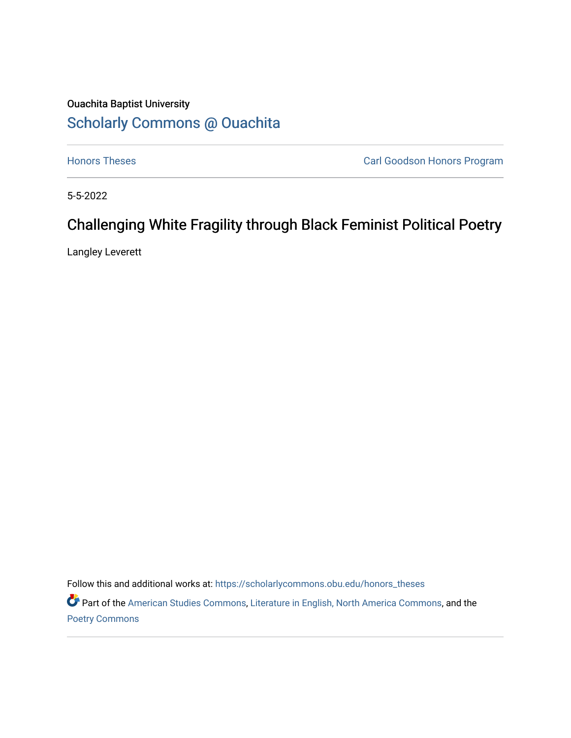## Ouachita Baptist University [Scholarly Commons @ Ouachita](https://scholarlycommons.obu.edu/)

**[Honors Theses](https://scholarlycommons.obu.edu/honors_theses) Carl Goodson Honors Program** 

5-5-2022

# Challenging White Fragility through Black Feminist Political Poetry

Langley Leverett

Follow this and additional works at: [https://scholarlycommons.obu.edu/honors\\_theses](https://scholarlycommons.obu.edu/honors_theses?utm_source=scholarlycommons.obu.edu%2Fhonors_theses%2F856&utm_medium=PDF&utm_campaign=PDFCoverPages) 

Part of the [American Studies Commons](http://network.bepress.com/hgg/discipline/439?utm_source=scholarlycommons.obu.edu%2Fhonors_theses%2F856&utm_medium=PDF&utm_campaign=PDFCoverPages), [Literature in English, North America Commons,](http://network.bepress.com/hgg/discipline/458?utm_source=scholarlycommons.obu.edu%2Fhonors_theses%2F856&utm_medium=PDF&utm_campaign=PDFCoverPages) and the [Poetry Commons](http://network.bepress.com/hgg/discipline/1153?utm_source=scholarlycommons.obu.edu%2Fhonors_theses%2F856&utm_medium=PDF&utm_campaign=PDFCoverPages)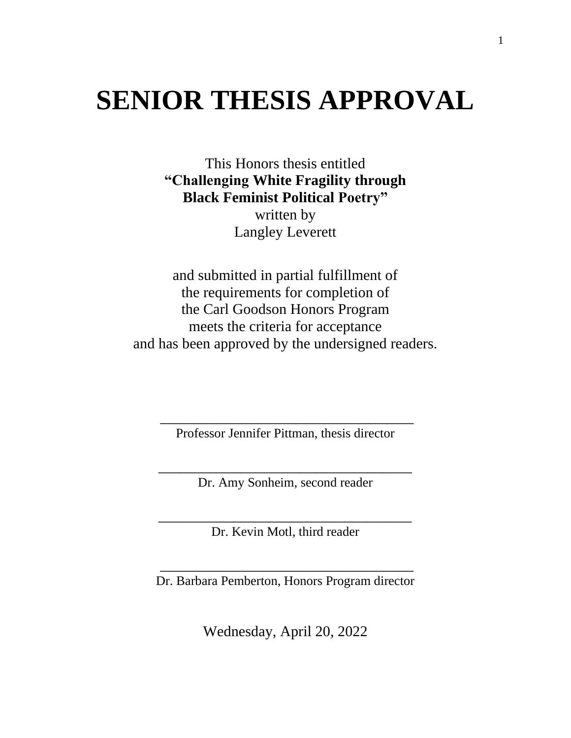# **SENIOR THESIS APPROVAL**

This Honors thesis entitled **"Challenging White Fragility through Black Feminist Political Poetry"** written by Langley Leverett

and submitted in partial fulfillment of the requirements for completion of the Carl Goodson Honors Program meets the criteria for acceptance and has been approved by the undersigned readers.

\_\_\_\_\_\_\_\_\_\_\_\_\_\_\_\_\_\_\_\_\_\_\_\_\_\_\_\_\_\_\_\_\_\_ Professor Jennifer Pittman, thesis director

\_\_\_\_\_\_\_\_\_\_\_\_\_\_\_\_\_\_\_\_\_\_\_\_\_\_\_\_\_\_\_\_\_\_ Dr. Amy Sonheim, second reader

\_\_\_\_\_\_\_\_\_\_\_\_\_\_\_\_\_\_\_\_\_\_\_\_\_\_\_\_\_\_\_\_\_\_ Dr. Kevin Motl, third reader

\_\_\_\_\_\_\_\_\_\_\_\_\_\_\_\_\_\_\_\_\_\_\_\_\_\_\_\_\_\_\_\_\_\_ Dr. Barbara Pemberton, Honors Program director

Wednesday, April 20, 2022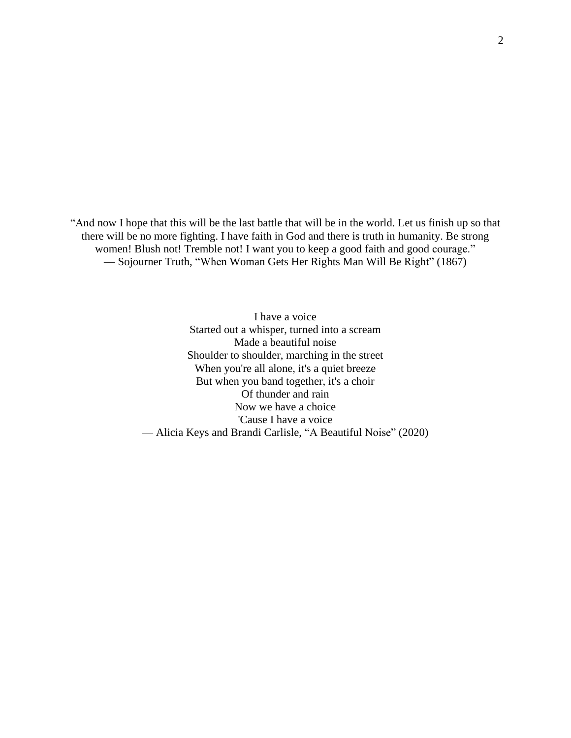"And now I hope that this will be the last battle that will be in the world. Let us finish up so that there will be no more fighting. I have faith in God and there is truth in humanity. Be strong women! Blush not! Tremble not! I want you to keep a good faith and good courage." — Sojourner Truth, "When Woman Gets Her Rights Man Will Be Right" (1867)

> I have a voice Started out a whisper, turned into a scream Made a beautiful noise Shoulder to shoulder, marching in the street When you're all alone, it's a quiet breeze But when you band together, it's a choir Of thunder and rain Now we have a choice 'Cause I have a voice — Alicia Keys and Brandi Carlisle, "A Beautiful Noise" (2020)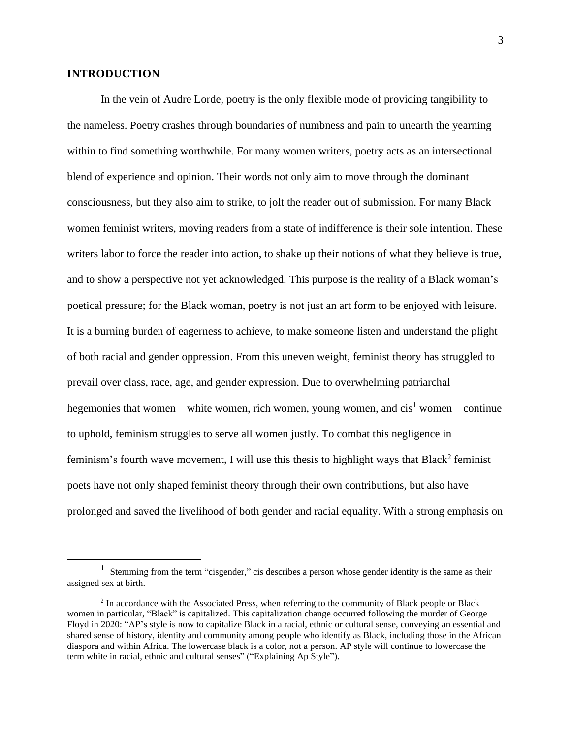## **INTRODUCTION**

In the vein of Audre Lorde, poetry is the only flexible mode of providing tangibility to the nameless. Poetry crashes through boundaries of numbness and pain to unearth the yearning within to find something worthwhile. For many women writers, poetry acts as an intersectional blend of experience and opinion. Their words not only aim to move through the dominant consciousness, but they also aim to strike, to jolt the reader out of submission. For many Black women feminist writers, moving readers from a state of indifference is their sole intention. These writers labor to force the reader into action, to shake up their notions of what they believe is true, and to show a perspective not yet acknowledged. This purpose is the reality of a Black woman's poetical pressure; for the Black woman, poetry is not just an art form to be enjoyed with leisure. It is a burning burden of eagerness to achieve, to make someone listen and understand the plight of both racial and gender oppression. From this uneven weight, feminist theory has struggled to prevail over class, race, age, and gender expression. Due to overwhelming patriarchal hegemonies that women – white women, rich women, young women, and  $cis<sup>1</sup>$  women – continue to uphold, feminism struggles to serve all women justly. To combat this negligence in feminism's fourth wave movement, I will use this thesis to highlight ways that Black<sup>2</sup> feminist poets have not only shaped feminist theory through their own contributions, but also have prolonged and saved the livelihood of both gender and racial equality. With a strong emphasis on

<sup>&</sup>lt;sup>1</sup> Stemming from the term "cisgender," cis describes a person whose gender identity is the same as their assigned sex at birth.

<sup>&</sup>lt;sup>2</sup> In accordance with the Associated Press, when referring to the community of Black people or Black women in particular, "Black" is capitalized. This capitalization change occurred following the murder of George Floyd in 2020: "AP's style is now to capitalize Black in a racial, ethnic or cultural sense, conveying an essential and shared sense of history, identity and community among people who identify as Black, including those in the African diaspora and within Africa. The lowercase black is a color, not a person. AP style will continue to lowercase the term white in racial, ethnic and cultural senses" ("Explaining Ap Style").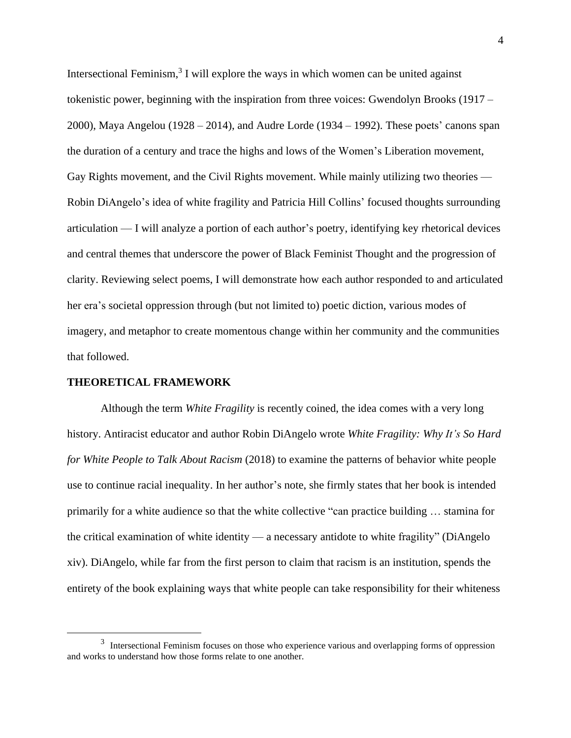Intersectional Feminism,<sup>3</sup> I will explore the ways in which women can be united against tokenistic power, beginning with the inspiration from three voices: Gwendolyn Brooks (1917 – 2000), Maya Angelou (1928 – 2014), and Audre Lorde (1934 – 1992). These poets' canons span the duration of a century and trace the highs and lows of the Women's Liberation movement, Gay Rights movement, and the Civil Rights movement. While mainly utilizing two theories — Robin DiAngelo's idea of white fragility and Patricia Hill Collins' focused thoughts surrounding articulation — I will analyze a portion of each author's poetry, identifying key rhetorical devices and central themes that underscore the power of Black Feminist Thought and the progression of clarity. Reviewing select poems, I will demonstrate how each author responded to and articulated her era's societal oppression through (but not limited to) poetic diction, various modes of imagery, and metaphor to create momentous change within her community and the communities that followed.

#### **THEORETICAL FRAMEWORK**

Although the term *White Fragility* is recently coined, the idea comes with a very long history. Antiracist educator and author Robin DiAngelo wrote *White Fragility: Why It's So Hard for White People to Talk About Racism* (2018) to examine the patterns of behavior white people use to continue racial inequality. In her author's note, she firmly states that her book is intended primarily for a white audience so that the white collective "can practice building … stamina for the critical examination of white identity — a necessary antidote to white fragility" (DiAngelo xiv). DiAngelo, while far from the first person to claim that racism is an institution, spends the entirety of the book explaining ways that white people can take responsibility for their whiteness

<sup>&</sup>lt;sup>3</sup> Intersectional Feminism focuses on those who experience various and overlapping forms of oppression and works to understand how those forms relate to one another.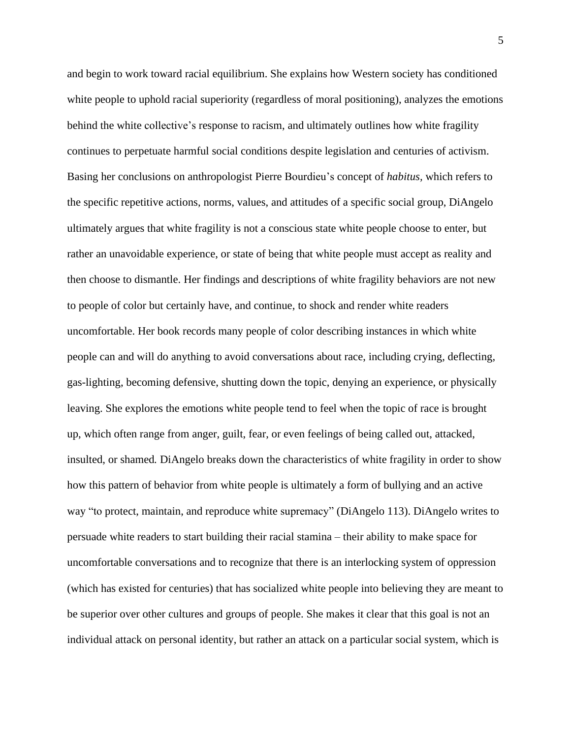and begin to work toward racial equilibrium. She explains how Western society has conditioned white people to uphold racial superiority (regardless of moral positioning), analyzes the emotions behind the white collective's response to racism, and ultimately outlines how white fragility continues to perpetuate harmful social conditions despite legislation and centuries of activism. Basing her conclusions on anthropologist Pierre Bourdieu's concept of *habitus,* which refers to the specific repetitive actions, norms, values, and attitudes of a specific social group, DiAngelo ultimately argues that white fragility is not a conscious state white people choose to enter, but rather an unavoidable experience, or state of being that white people must accept as reality and then choose to dismantle. Her findings and descriptions of white fragility behaviors are not new to people of color but certainly have, and continue, to shock and render white readers uncomfortable. Her book records many people of color describing instances in which white people can and will do anything to avoid conversations about race, including crying, deflecting, gas-lighting, becoming defensive, shutting down the topic, denying an experience, or physically leaving. She explores the emotions white people tend to feel when the topic of race is brought up, which often range from anger, guilt, fear, or even feelings of being called out, attacked, insulted, or shamed*.* DiAngelo breaks down the characteristics of white fragility in order to show how this pattern of behavior from white people is ultimately a form of bullying and an active way "to protect, maintain, and reproduce white supremacy" (DiAngelo 113). DiAngelo writes to persuade white readers to start building their racial stamina – their ability to make space for uncomfortable conversations and to recognize that there is an interlocking system of oppression (which has existed for centuries) that has socialized white people into believing they are meant to be superior over other cultures and groups of people. She makes it clear that this goal is not an individual attack on personal identity, but rather an attack on a particular social system, which is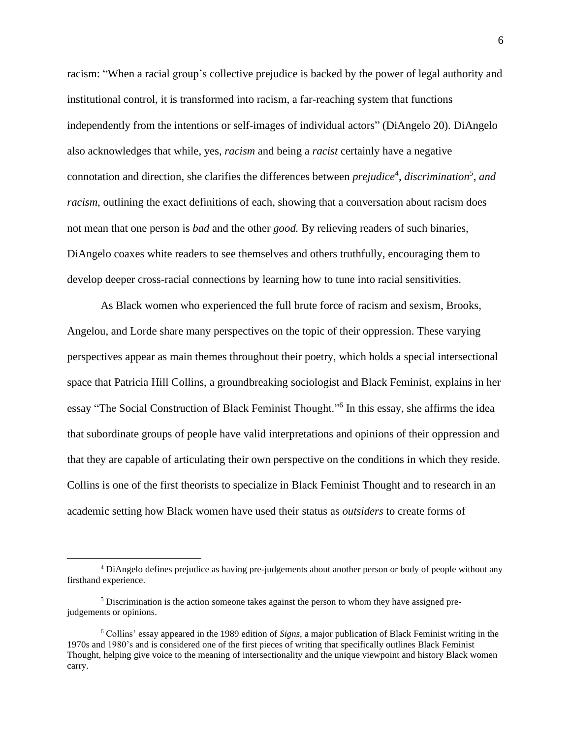racism: "When a racial group's collective prejudice is backed by the power of legal authority and institutional control, it is transformed into racism, a far-reaching system that functions independently from the intentions or self-images of individual actors" (DiAngelo 20). DiAngelo also acknowledges that while, yes, *racism* and being a *racist* certainly have a negative connotation and direction, she clarifies the differences between *prejudice<sup>4</sup>* , *discrimination<sup>5</sup>* , *and racism*, outlining the exact definitions of each, showing that a conversation about racism does not mean that one person is *bad* and the other *good.* By relieving readers of such binaries, DiAngelo coaxes white readers to see themselves and others truthfully, encouraging them to develop deeper cross-racial connections by learning how to tune into racial sensitivities.

As Black women who experienced the full brute force of racism and sexism, Brooks, Angelou, and Lorde share many perspectives on the topic of their oppression. These varying perspectives appear as main themes throughout their poetry, which holds a special intersectional space that Patricia Hill Collins, a groundbreaking sociologist and Black Feminist, explains in her essay "The Social Construction of Black Feminist Thought."<sup>6</sup> In this essay, she affirms the idea that subordinate groups of people have valid interpretations and opinions of their oppression and that they are capable of articulating their own perspective on the conditions in which they reside. Collins is one of the first theorists to specialize in Black Feminist Thought and to research in an academic setting how Black women have used their status as *outsiders* to create forms of

<sup>4</sup> DiAngelo defines prejudice as having pre-judgements about another person or body of people without any firsthand experience.

<sup>&</sup>lt;sup>5</sup> Discrimination is the action someone takes against the person to whom they have assigned prejudgements or opinions.

<sup>6</sup> Collins' essay appeared in the 1989 edition of *Signs*, a major publication of Black Feminist writing in the 1970s and 1980's and is considered one of the first pieces of writing that specifically outlines Black Feminist Thought, helping give voice to the meaning of intersectionality and the unique viewpoint and history Black women carry.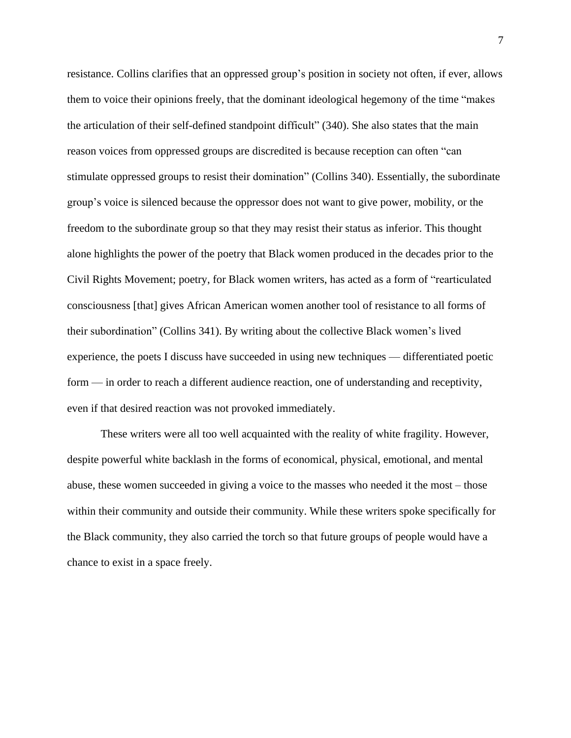resistance. Collins clarifies that an oppressed group's position in society not often, if ever, allows them to voice their opinions freely, that the dominant ideological hegemony of the time "makes the articulation of their self-defined standpoint difficult" (340). She also states that the main reason voices from oppressed groups are discredited is because reception can often "can stimulate oppressed groups to resist their domination" (Collins 340). Essentially, the subordinate group's voice is silenced because the oppressor does not want to give power, mobility, or the freedom to the subordinate group so that they may resist their status as inferior. This thought alone highlights the power of the poetry that Black women produced in the decades prior to the Civil Rights Movement; poetry, for Black women writers, has acted as a form of "rearticulated consciousness [that] gives African American women another tool of resistance to all forms of their subordination" (Collins 341). By writing about the collective Black women's lived experience, the poets I discuss have succeeded in using new techniques — differentiated poetic form — in order to reach a different audience reaction, one of understanding and receptivity, even if that desired reaction was not provoked immediately.

These writers were all too well acquainted with the reality of white fragility. However, despite powerful white backlash in the forms of economical, physical, emotional, and mental abuse, these women succeeded in giving a voice to the masses who needed it the most – those within their community and outside their community. While these writers spoke specifically for the Black community, they also carried the torch so that future groups of people would have a chance to exist in a space freely.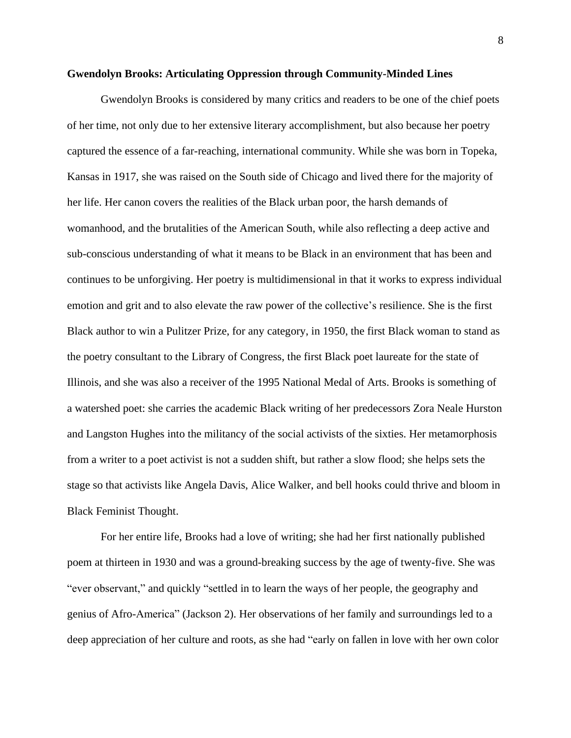## **Gwendolyn Brooks: Articulating Oppression through Community-Minded Lines**

Gwendolyn Brooks is considered by many critics and readers to be one of the chief poets of her time, not only due to her extensive literary accomplishment, but also because her poetry captured the essence of a far-reaching, international community. While she was born in Topeka, Kansas in 1917, she was raised on the South side of Chicago and lived there for the majority of her life. Her canon covers the realities of the Black urban poor, the harsh demands of womanhood, and the brutalities of the American South, while also reflecting a deep active and sub-conscious understanding of what it means to be Black in an environment that has been and continues to be unforgiving. Her poetry is multidimensional in that it works to express individual emotion and grit and to also elevate the raw power of the collective's resilience. She is the first Black author to win a Pulitzer Prize, for any category, in 1950, the first Black woman to stand as the poetry consultant to the Library of Congress, the first Black poet laureate for the state of Illinois, and she was also a receiver of the 1995 National Medal of Arts. Brooks is something of a watershed poet: she carries the academic Black writing of her predecessors Zora Neale Hurston and Langston Hughes into the militancy of the social activists of the sixties. Her metamorphosis from a writer to a poet activist is not a sudden shift, but rather a slow flood; she helps sets the stage so that activists like Angela Davis, Alice Walker, and bell hooks could thrive and bloom in Black Feminist Thought.

For her entire life, Brooks had a love of writing; she had her first nationally published poem at thirteen in 1930 and was a ground-breaking success by the age of twenty-five. She was "ever observant," and quickly "settled in to learn the ways of her people, the geography and genius of Afro-America" (Jackson 2). Her observations of her family and surroundings led to a deep appreciation of her culture and roots, as she had "early on fallen in love with her own color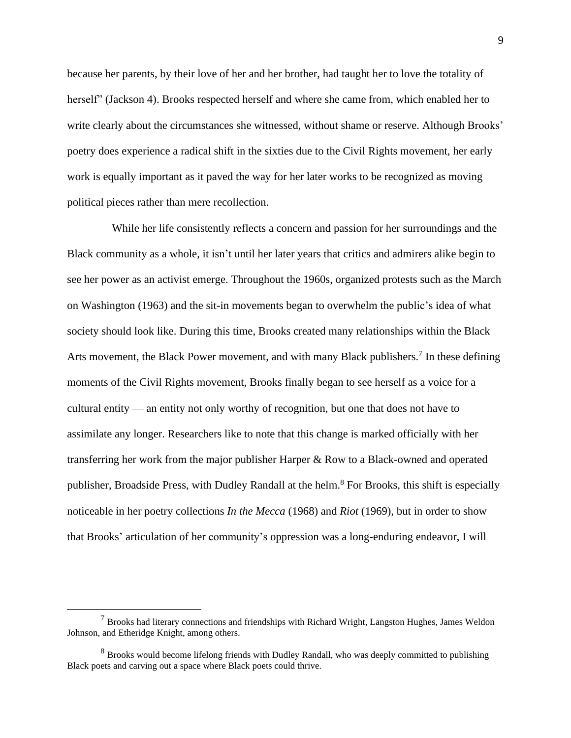because her parents, by their love of her and her brother, had taught her to love the totality of herself" (Jackson 4). Brooks respected herself and where she came from, which enabled her to write clearly about the circumstances she witnessed, without shame or reserve. Although Brooks' poetry does experience a radical shift in the sixties due to the Civil Rights movement, her early work is equally important as it paved the way for her later works to be recognized as moving political pieces rather than mere recollection.

While her life consistently reflects a concern and passion for her surroundings and the Black community as a whole, it isn't until her later years that critics and admirers alike begin to see her power as an activist emerge. Throughout the 1960s, organized protests such as the March on Washington (1963) and the sit-in movements began to overwhelm the public's idea of what society should look like. During this time, Brooks created many relationships within the Black Arts movement, the Black Power movement, and with many Black publishers.<sup>7</sup> In these defining moments of the Civil Rights movement, Brooks finally began to see herself as a voice for a cultural entity — an entity not only worthy of recognition, but one that does not have to assimilate any longer. Researchers like to note that this change is marked officially with her transferring her work from the major publisher Harper & Row to a Black-owned and operated publisher, Broadside Press, with Dudley Randall at the helm.<sup>8</sup> For Brooks, this shift is especially noticeable in her poetry collections *In the Mecca* (1968) and *Riot* (1969), but in order to show that Brooks' articulation of her community's oppression was a long-enduring endeavor, I will

 $<sup>7</sup>$  Brooks had literary connections and friendships with Richard Wright, Langston Hughes, James Weldon</sup> Johnson, and Etheridge Knight, among others.

<sup>&</sup>lt;sup>8</sup> Brooks would become lifelong friends with Dudley Randall, who was deeply committed to publishing Black poets and carving out a space where Black poets could thrive.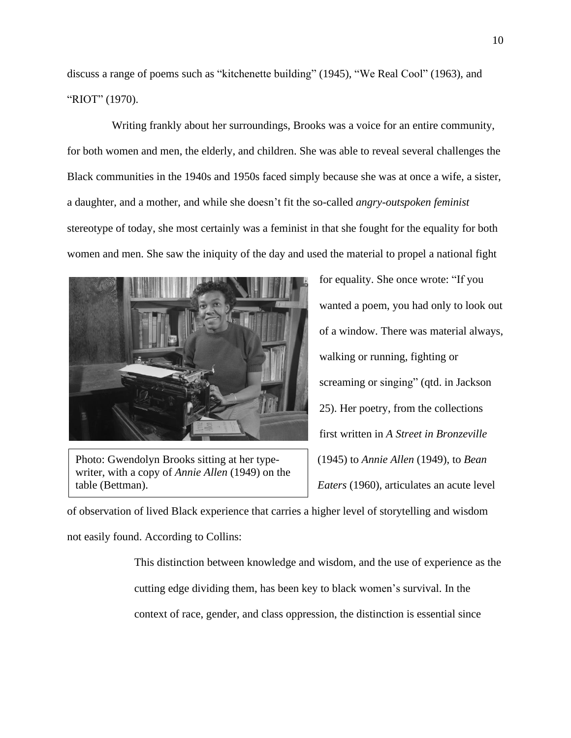discuss a range of poems such as "kitchenette building" (1945), "We Real Cool" (1963), and "RIOT" (1970).

Writing frankly about her surroundings, Brooks was a voice for an entire community, for both women and men, the elderly, and children. She was able to reveal several challenges the Black communities in the 1940s and 1950s faced simply because she was at once a wife, a sister, a daughter, and a mother, and while she doesn't fit the so-called *angry-outspoken feminist* stereotype of today, she most certainly was a feminist in that she fought for the equality for both women and men. She saw the iniquity of the day and used the material to propel a national fight



Photo: Gwendolyn Brooks sitting at her typewriter, with a copy of *Annie Allen* (1949) on the table (Bettman).

for equality. She once wrote: "If you wanted a poem, you had only to look out of a window. There was material always, walking or running, fighting or screaming or singing" (qtd. in Jackson 25). Her poetry, from the collections first written in *A Street in Bronzeville* (1945) to *Annie Allen* (1949), to *Bean Eaters* (1960), articulates an acute level

of observation of lived Black experience that carries a higher level of storytelling and wisdom not easily found. According to Collins:

> This distinction between knowledge and wisdom, and the use of experience as the cutting edge dividing them, has been key to black women's survival. In the context of race, gender, and class oppression, the distinction is essential since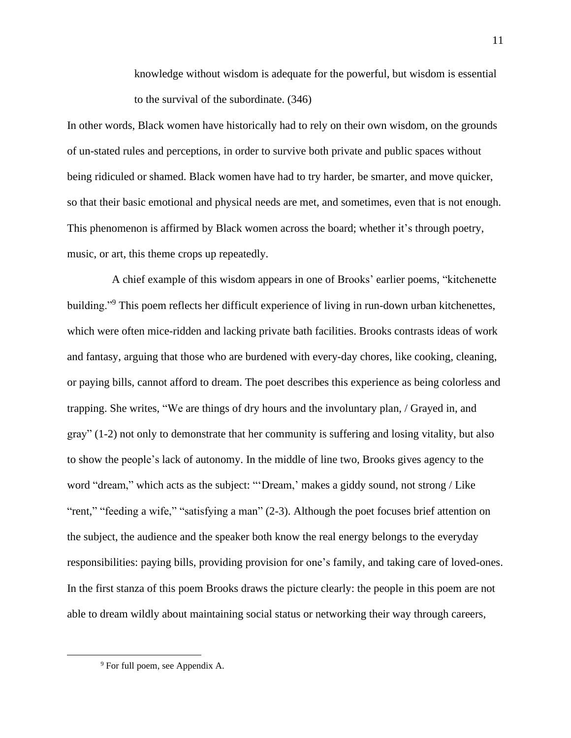knowledge without wisdom is adequate for the powerful, but wisdom is essential to the survival of the subordinate. (346)

In other words, Black women have historically had to rely on their own wisdom, on the grounds of un-stated rules and perceptions, in order to survive both private and public spaces without being ridiculed or shamed. Black women have had to try harder, be smarter, and move quicker, so that their basic emotional and physical needs are met, and sometimes, even that is not enough. This phenomenon is affirmed by Black women across the board; whether it's through poetry, music, or art, this theme crops up repeatedly.

A chief example of this wisdom appears in one of Brooks' earlier poems, "kitchenette building."<sup>9</sup> This poem reflects her difficult experience of living in run-down urban kitchenettes, which were often mice-ridden and lacking private bath facilities. Brooks contrasts ideas of work and fantasy, arguing that those who are burdened with every-day chores, like cooking, cleaning, or paying bills, cannot afford to dream. The poet describes this experience as being colorless and trapping. She writes, "We are things of dry hours and the involuntary plan, / Grayed in, and gray" (1-2) not only to demonstrate that her community is suffering and losing vitality, but also to show the people's lack of autonomy. In the middle of line two, Brooks gives agency to the word "dream," which acts as the subject: "'Dream,' makes a giddy sound, not strong / Like "rent," "feeding a wife," "satisfying a man" (2-3). Although the poet focuses brief attention on the subject, the audience and the speaker both know the real energy belongs to the everyday responsibilities: paying bills, providing provision for one's family, and taking care of loved-ones. In the first stanza of this poem Brooks draws the picture clearly: the people in this poem are not able to dream wildly about maintaining social status or networking their way through careers,

<sup>&</sup>lt;sup>9</sup> For full poem, see Appendix A.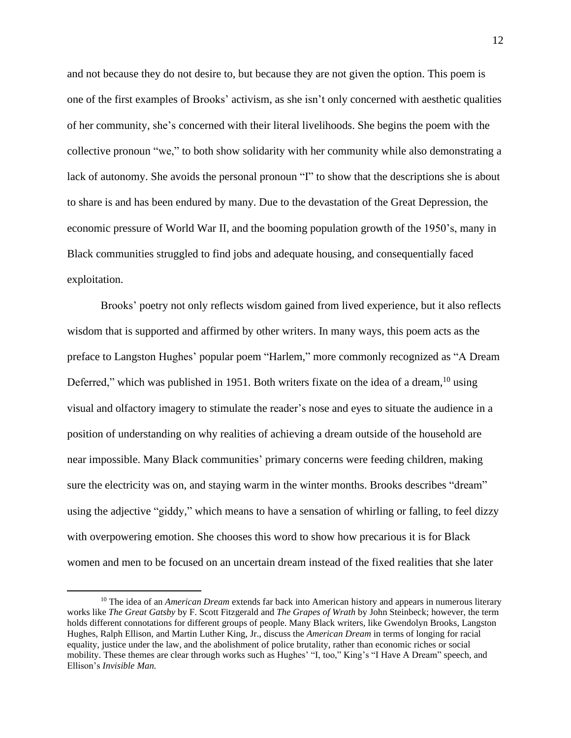and not because they do not desire to, but because they are not given the option. This poem is one of the first examples of Brooks' activism, as she isn't only concerned with aesthetic qualities of her community, she's concerned with their literal livelihoods. She begins the poem with the collective pronoun "we," to both show solidarity with her community while also demonstrating a lack of autonomy. She avoids the personal pronoun "I" to show that the descriptions she is about to share is and has been endured by many. Due to the devastation of the Great Depression, the economic pressure of World War II, and the booming population growth of the 1950's, many in Black communities struggled to find jobs and adequate housing, and consequentially faced exploitation.

Brooks' poetry not only reflects wisdom gained from lived experience, but it also reflects wisdom that is supported and affirmed by other writers. In many ways, this poem acts as the preface to Langston Hughes' popular poem "Harlem," more commonly recognized as "A Dream Deferred," which was published in 1951. Both writers fixate on the idea of a dream, <sup>10</sup> using visual and olfactory imagery to stimulate the reader's nose and eyes to situate the audience in a position of understanding on why realities of achieving a dream outside of the household are near impossible. Many Black communities' primary concerns were feeding children, making sure the electricity was on, and staying warm in the winter months. Brooks describes "dream" using the adjective "giddy," which means to have a sensation of whirling or falling, to feel dizzy with overpowering emotion. She chooses this word to show how precarious it is for Black women and men to be focused on an uncertain dream instead of the fixed realities that she later

<sup>10</sup> The idea of an *American Dream* extends far back into American history and appears in numerous literary works like *The Great Gatsby* by F. Scott Fitzgerald and *The Grapes of Wrath* by John Steinbeck; however, the term holds different connotations for different groups of people. Many Black writers, like Gwendolyn Brooks, Langston Hughes, Ralph Ellison, and Martin Luther King, Jr., discuss the *American Dream* in terms of longing for racial equality, justice under the law, and the abolishment of police brutality, rather than economic riches or social mobility. These themes are clear through works such as Hughes' "I, too," King's "I Have A Dream" speech, and Ellison's *Invisible Man.*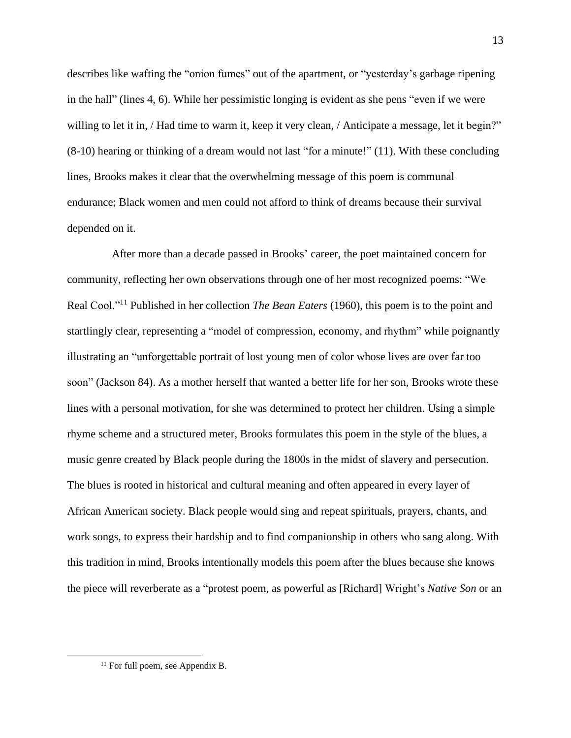describes like wafting the "onion fumes" out of the apartment, or "yesterday's garbage ripening in the hall" (lines 4, 6). While her pessimistic longing is evident as she pens "even if we were willing to let it in, / Had time to warm it, keep it very clean, / Anticipate a message, let it begin?" (8-10) hearing or thinking of a dream would not last "for a minute!" (11). With these concluding lines, Brooks makes it clear that the overwhelming message of this poem is communal endurance; Black women and men could not afford to think of dreams because their survival depended on it.

After more than a decade passed in Brooks' career, the poet maintained concern for community, reflecting her own observations through one of her most recognized poems: "We Real Cool."<sup>11</sup> Published in her collection *The Bean Eaters* (1960), this poem is to the point and startlingly clear, representing a "model of compression, economy, and rhythm" while poignantly illustrating an "unforgettable portrait of lost young men of color whose lives are over far too soon" (Jackson 84). As a mother herself that wanted a better life for her son, Brooks wrote these lines with a personal motivation, for she was determined to protect her children. Using a simple rhyme scheme and a structured meter, Brooks formulates this poem in the style of the blues, a music genre created by Black people during the 1800s in the midst of slavery and persecution. The blues is rooted in historical and cultural meaning and often appeared in every layer of African American society. Black people would sing and repeat spirituals, prayers, chants, and work songs, to express their hardship and to find companionship in others who sang along. With this tradition in mind, Brooks intentionally models this poem after the blues because she knows the piece will reverberate as a "protest poem, as powerful as [Richard] Wright's *Native Son* or an

<sup>&</sup>lt;sup>11</sup> For full poem, see Appendix B.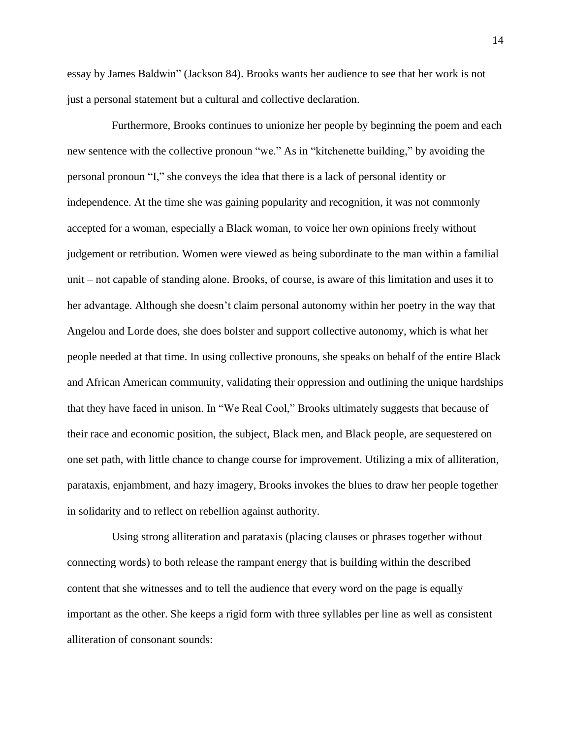essay by James Baldwin" (Jackson 84). Brooks wants her audience to see that her work is not just a personal statement but a cultural and collective declaration.

Furthermore, Brooks continues to unionize her people by beginning the poem and each new sentence with the collective pronoun "we." As in "kitchenette building," by avoiding the personal pronoun "I," she conveys the idea that there is a lack of personal identity or independence. At the time she was gaining popularity and recognition, it was not commonly accepted for a woman, especially a Black woman, to voice her own opinions freely without judgement or retribution. Women were viewed as being subordinate to the man within a familial unit – not capable of standing alone. Brooks, of course, is aware of this limitation and uses it to her advantage. Although she doesn't claim personal autonomy within her poetry in the way that Angelou and Lorde does, she does bolster and support collective autonomy, which is what her people needed at that time. In using collective pronouns, she speaks on behalf of the entire Black and African American community, validating their oppression and outlining the unique hardships that they have faced in unison. In "We Real Cool," Brooks ultimately suggests that because of their race and economic position, the subject, Black men, and Black people, are sequestered on one set path, with little chance to change course for improvement. Utilizing a mix of alliteration, parataxis, enjambment, and hazy imagery, Brooks invokes the blues to draw her people together in solidarity and to reflect on rebellion against authority.

Using strong alliteration and parataxis (placing clauses or phrases together without connecting words) to both release the rampant energy that is building within the described content that she witnesses and to tell the audience that every word on the page is equally important as the other. She keeps a rigid form with three syllables per line as well as consistent alliteration of consonant sounds: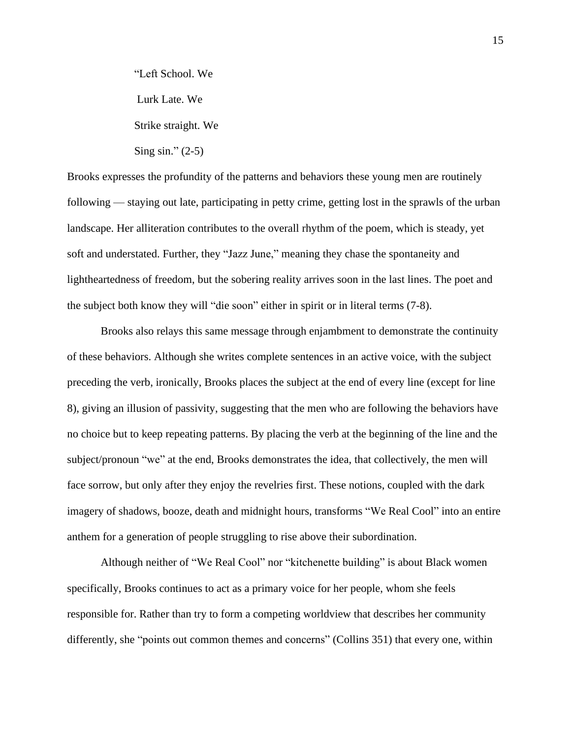"Left School. We Lurk Late. We Strike straight. We Sing sin."  $(2-5)$ 

Brooks expresses the profundity of the patterns and behaviors these young men are routinely following — staying out late, participating in petty crime, getting lost in the sprawls of the urban landscape. Her alliteration contributes to the overall rhythm of the poem, which is steady, yet soft and understated. Further, they "Jazz June," meaning they chase the spontaneity and lightheartedness of freedom, but the sobering reality arrives soon in the last lines. The poet and the subject both know they will "die soon" either in spirit or in literal terms (7-8).

Brooks also relays this same message through enjambment to demonstrate the continuity of these behaviors. Although she writes complete sentences in an active voice, with the subject preceding the verb, ironically, Brooks places the subject at the end of every line (except for line 8), giving an illusion of passivity, suggesting that the men who are following the behaviors have no choice but to keep repeating patterns. By placing the verb at the beginning of the line and the subject/pronoun "we" at the end, Brooks demonstrates the idea, that collectively, the men will face sorrow, but only after they enjoy the revelries first. These notions, coupled with the dark imagery of shadows, booze, death and midnight hours, transforms "We Real Cool" into an entire anthem for a generation of people struggling to rise above their subordination.

Although neither of "We Real Cool" nor "kitchenette building" is about Black women specifically, Brooks continues to act as a primary voice for her people, whom she feels responsible for. Rather than try to form a competing worldview that describes her community differently, she "points out common themes and concerns" (Collins 351) that every one, within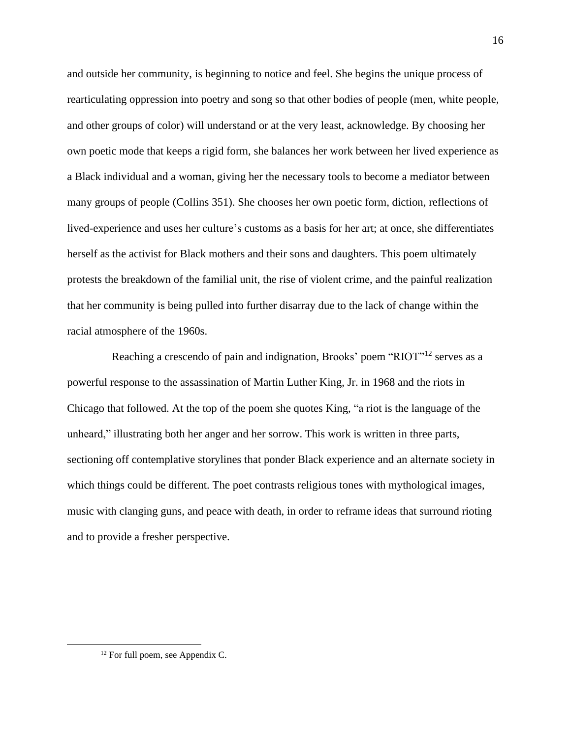and outside her community, is beginning to notice and feel. She begins the unique process of rearticulating oppression into poetry and song so that other bodies of people (men, white people, and other groups of color) will understand or at the very least, acknowledge. By choosing her own poetic mode that keeps a rigid form, she balances her work between her lived experience as a Black individual and a woman, giving her the necessary tools to become a mediator between many groups of people (Collins 351). She chooses her own poetic form, diction, reflections of lived-experience and uses her culture's customs as a basis for her art; at once, she differentiates herself as the activist for Black mothers and their sons and daughters. This poem ultimately protests the breakdown of the familial unit, the rise of violent crime, and the painful realization that her community is being pulled into further disarray due to the lack of change within the racial atmosphere of the 1960s.

Reaching a crescendo of pain and indignation, Brooks' poem "RIOT"<sup>12</sup> serves as a powerful response to the assassination of Martin Luther King, Jr. in 1968 and the riots in Chicago that followed. At the top of the poem she quotes King, "a riot is the language of the unheard," illustrating both her anger and her sorrow. This work is written in three parts, sectioning off contemplative storylines that ponder Black experience and an alternate society in which things could be different. The poet contrasts religious tones with mythological images, music with clanging guns, and peace with death, in order to reframe ideas that surround rioting and to provide a fresher perspective.

<sup>&</sup>lt;sup>12</sup> For full poem, see Appendix C.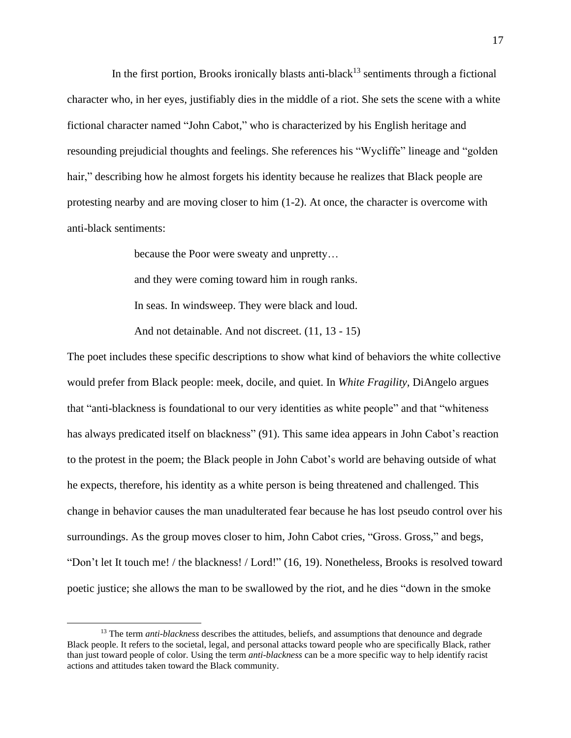In the first portion, Brooks ironically blasts anti-black<sup>13</sup> sentiments through a fictional character who, in her eyes, justifiably dies in the middle of a riot. She sets the scene with a white fictional character named "John Cabot," who is characterized by his English heritage and resounding prejudicial thoughts and feelings. She references his "Wycliffe" lineage and "golden hair," describing how he almost forgets his identity because he realizes that Black people are protesting nearby and are moving closer to him (1-2). At once, the character is overcome with anti-black sentiments:

> because the Poor were sweaty and unpretty… and they were coming toward him in rough ranks. In seas. In windsweep. They were black and loud. And not detainable. And not discreet. (11, 13 - 15)

The poet includes these specific descriptions to show what kind of behaviors the white collective would prefer from Black people: meek, docile, and quiet. In *White Fragility,* DiAngelo argues that "anti-blackness is foundational to our very identities as white people" and that "whiteness has always predicated itself on blackness" (91). This same idea appears in John Cabot's reaction to the protest in the poem; the Black people in John Cabot's world are behaving outside of what he expects, therefore, his identity as a white person is being threatened and challenged. This change in behavior causes the man unadulterated fear because he has lost pseudo control over his surroundings. As the group moves closer to him, John Cabot cries, "Gross. Gross," and begs, "Don't let It touch me! / the blackness! / Lord!" (16, 19). Nonetheless, Brooks is resolved toward poetic justice; she allows the man to be swallowed by the riot, and he dies "down in the smoke

<sup>&</sup>lt;sup>13</sup> The term *anti-blackness* describes the attitudes, beliefs, and assumptions that denounce and degrade Black people. It refers to the societal, legal, and personal attacks toward people who are specifically Black, rather than just toward people of color. Using the term *anti-blackness* can be a more specific way to help identify racist actions and attitudes taken toward the Black community.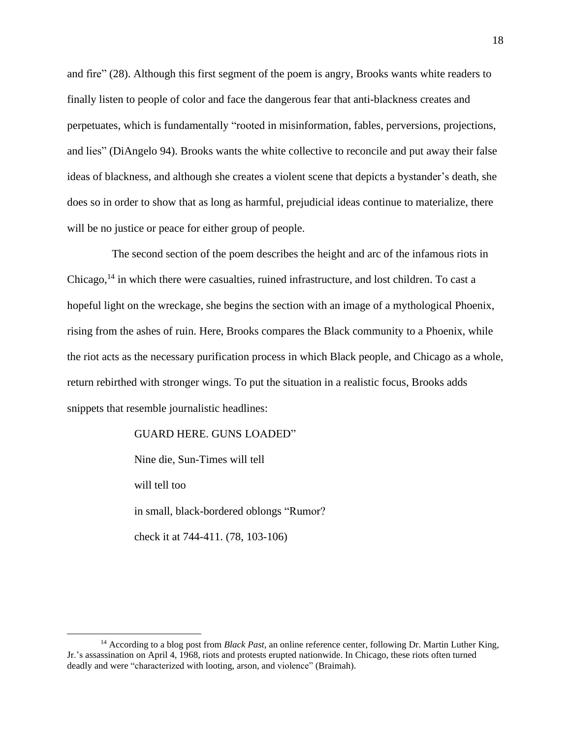and fire" (28). Although this first segment of the poem is angry, Brooks wants white readers to finally listen to people of color and face the dangerous fear that anti-blackness creates and perpetuates, which is fundamentally "rooted in misinformation, fables, perversions, projections, and lies" (DiAngelo 94). Brooks wants the white collective to reconcile and put away their false ideas of blackness, and although she creates a violent scene that depicts a bystander's death, she does so in order to show that as long as harmful, prejudicial ideas continue to materialize, there will be no justice or peace for either group of people.

The second section of the poem describes the height and arc of the infamous riots in Chicago,<sup>14</sup> in which there were casualties, ruined infrastructure, and lost children. To cast a hopeful light on the wreckage, she begins the section with an image of a mythological Phoenix, rising from the ashes of ruin. Here, Brooks compares the Black community to a Phoenix, while the riot acts as the necessary purification process in which Black people, and Chicago as a whole, return rebirthed with stronger wings. To put the situation in a realistic focus, Brooks adds snippets that resemble journalistic headlines:

## GUARD HERE. GUNS LOADED"

Nine die, Sun-Times will tell will tell too in small, black-bordered oblongs "Rumor? check it at 744-411. (78, 103-106)

<sup>&</sup>lt;sup>14</sup> According to a blog post from *Black Past*, an online reference center, following Dr. Martin Luther King, Jr.'s assassination on April 4, 1968, riots and protests erupted nationwide. In Chicago, these riots often turned deadly and were "characterized with looting, arson, and violence" (Braimah).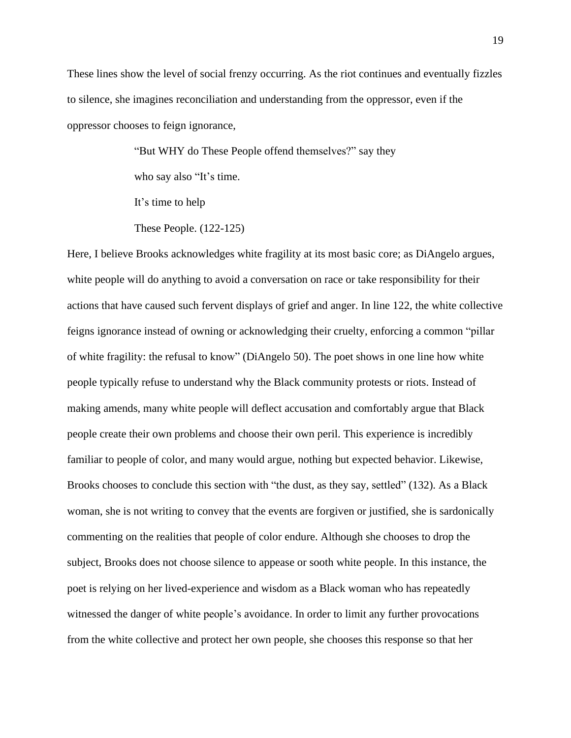These lines show the level of social frenzy occurring. As the riot continues and eventually fizzles to silence, she imagines reconciliation and understanding from the oppressor, even if the oppressor chooses to feign ignorance,

> "But WHY do These People offend themselves?" say they who say also "It's time. It's time to help These People. (122-125)

Here, I believe Brooks acknowledges white fragility at its most basic core; as DiAngelo argues, white people will do anything to avoid a conversation on race or take responsibility for their actions that have caused such fervent displays of grief and anger. In line 122, the white collective feigns ignorance instead of owning or acknowledging their cruelty, enforcing a common "pillar of white fragility: the refusal to know" (DiAngelo 50). The poet shows in one line how white people typically refuse to understand why the Black community protests or riots. Instead of making amends, many white people will deflect accusation and comfortably argue that Black people create their own problems and choose their own peril. This experience is incredibly familiar to people of color, and many would argue, nothing but expected behavior. Likewise, Brooks chooses to conclude this section with "the dust, as they say, settled" (132). As a Black woman, she is not writing to convey that the events are forgiven or justified, she is sardonically commenting on the realities that people of color endure. Although she chooses to drop the subject, Brooks does not choose silence to appease or sooth white people. In this instance, the poet is relying on her lived-experience and wisdom as a Black woman who has repeatedly witnessed the danger of white people's avoidance. In order to limit any further provocations from the white collective and protect her own people, she chooses this response so that her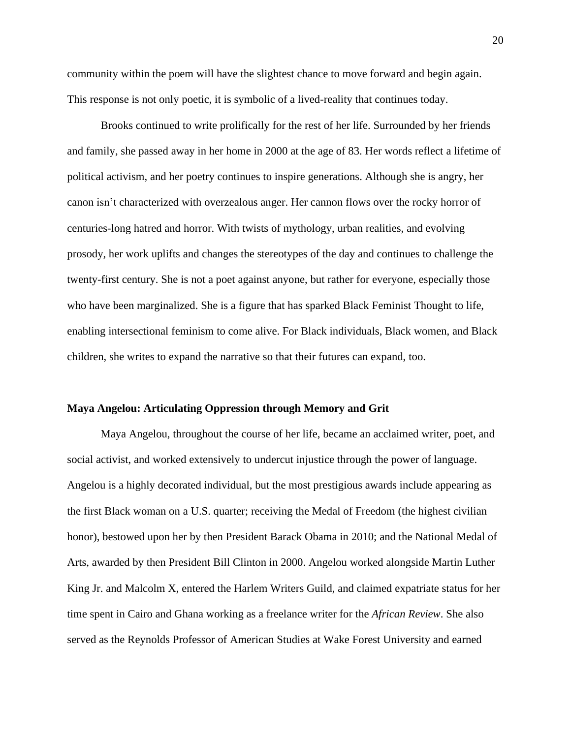community within the poem will have the slightest chance to move forward and begin again. This response is not only poetic, it is symbolic of a lived-reality that continues today.

Brooks continued to write prolifically for the rest of her life. Surrounded by her friends and family, she passed away in her home in 2000 at the age of 83. Her words reflect a lifetime of political activism, and her poetry continues to inspire generations. Although she is angry, her canon isn't characterized with overzealous anger. Her cannon flows over the rocky horror of centuries-long hatred and horror. With twists of mythology, urban realities, and evolving prosody, her work uplifts and changes the stereotypes of the day and continues to challenge the twenty-first century. She is not a poet against anyone, but rather for everyone, especially those who have been marginalized. She is a figure that has sparked Black Feminist Thought to life, enabling intersectional feminism to come alive. For Black individuals, Black women, and Black children, she writes to expand the narrative so that their futures can expand, too.

#### **Maya Angelou: Articulating Oppression through Memory and Grit**

Maya Angelou, throughout the course of her life, became an acclaimed writer, poet, and social activist, and worked extensively to undercut injustice through the power of language. Angelou is a highly decorated individual, but the most prestigious awards include appearing as the first Black woman on a U.S. quarter; receiving the Medal of Freedom (the highest civilian honor), bestowed upon her by then President Barack Obama in 2010; and the National Medal of Arts, awarded by then President Bill Clinton in 2000. Angelou worked alongside Martin Luther King Jr. and Malcolm X, entered the Harlem Writers Guild, and claimed expatriate status for her time spent in Cairo and Ghana working as a freelance writer for the *African Review*. She also served as the Reynolds Professor of American Studies at Wake Forest University and earned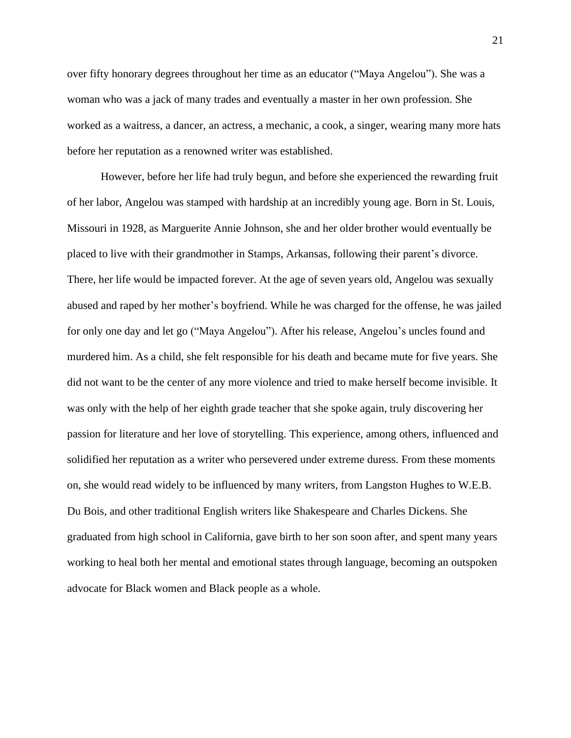over fifty honorary degrees throughout her time as an educator ("Maya Angelou"). She was a woman who was a jack of many trades and eventually a master in her own profession. She worked as a waitress, a dancer, an actress, a mechanic, a cook, a singer, wearing many more hats before her reputation as a renowned writer was established.

However, before her life had truly begun, and before she experienced the rewarding fruit of her labor, Angelou was stamped with hardship at an incredibly young age. Born in St. Louis, Missouri in 1928, as Marguerite Annie Johnson, she and her older brother would eventually be placed to live with their grandmother in Stamps, Arkansas, following their parent's divorce. There, her life would be impacted forever. At the age of seven years old, Angelou was sexually abused and raped by her mother's boyfriend. While he was charged for the offense, he was jailed for only one day and let go ("Maya Angelou"). After his release, Angelou's uncles found and murdered him. As a child, she felt responsible for his death and became mute for five years. She did not want to be the center of any more violence and tried to make herself become invisible. It was only with the help of her eighth grade teacher that she spoke again, truly discovering her passion for literature and her love of storytelling. This experience, among others, influenced and solidified her reputation as a writer who persevered under extreme duress. From these moments on, she would read widely to be influenced by many writers, from Langston Hughes to W.E.B. Du Bois, and other traditional English writers like Shakespeare and Charles Dickens. She graduated from high school in California, gave birth to her son soon after, and spent many years working to heal both her mental and emotional states through language, becoming an outspoken advocate for Black women and Black people as a whole.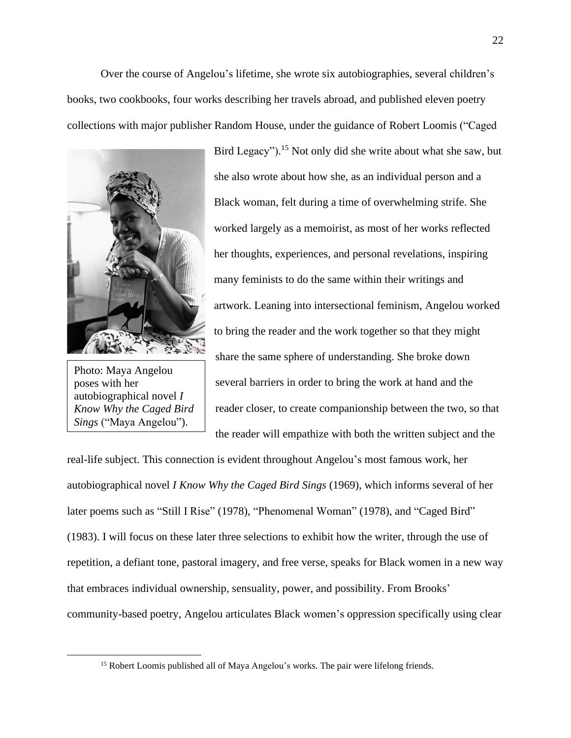Over the course of Angelou's lifetime, she wrote six autobiographies, several children's books, two cookbooks, four works describing her travels abroad, and published eleven poetry collections with major publisher Random House, under the guidance of Robert Loomis ("Caged



Photo: Maya Angelou poses with her autobiographical novel *I Know Why the Caged Bird Sings* ("Maya Angelou").

Bird Legacy").<sup>15</sup> Not only did she write about what she saw, but she also wrote about how she, as an individual person and a Black woman, felt during a time of overwhelming strife. She worked largely as a memoirist, as most of her works reflected her thoughts, experiences, and personal revelations, inspiring many feminists to do the same within their writings and artwork. Leaning into intersectional feminism, Angelou worked to bring the reader and the work together so that they might share the same sphere of understanding. She broke down several barriers in order to bring the work at hand and the reader closer, to create companionship between the two, so that the reader will empathize with both the written subject and the

real-life subject. This connection is evident throughout Angelou's most famous work, her autobiographical novel *I Know Why the Caged Bird Sings* (1969), which informs several of her later poems such as "Still I Rise" (1978), "Phenomenal Woman" (1978), and "Caged Bird" (1983). I will focus on these later three selections to exhibit how the writer, through the use of repetition, a defiant tone, pastoral imagery, and free verse, speaks for Black women in a new way that embraces individual ownership, sensuality, power, and possibility. From Brooks' community-based poetry, Angelou articulates Black women's oppression specifically using clear

<sup>&</sup>lt;sup>15</sup> Robert Loomis published all of Maya Angelou's works. The pair were lifelong friends.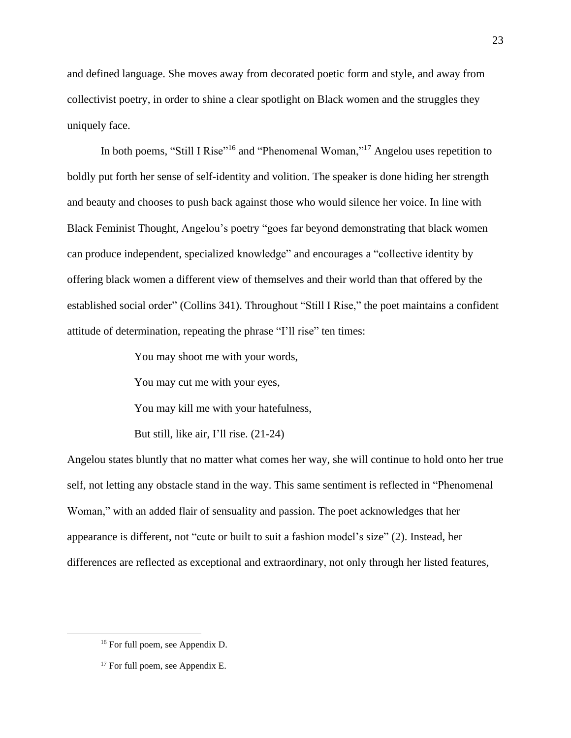and defined language. She moves away from decorated poetic form and style, and away from collectivist poetry, in order to shine a clear spotlight on Black women and the struggles they uniquely face.

In both poems, "Still I Rise"<sup>16</sup> and "Phenomenal Woman,"<sup>17</sup> Angelou uses repetition to boldly put forth her sense of self-identity and volition. The speaker is done hiding her strength and beauty and chooses to push back against those who would silence her voice. In line with Black Feminist Thought, Angelou's poetry "goes far beyond demonstrating that black women can produce independent, specialized knowledge" and encourages a "collective identity by offering black women a different view of themselves and their world than that offered by the established social order" (Collins 341). Throughout "Still I Rise," the poet maintains a confident attitude of determination, repeating the phrase "I'll rise" ten times:

You may shoot me with your words,

You may cut me with your eyes,

You may kill me with your hatefulness,

But still, like air, I'll rise. (21-24)

Angelou states bluntly that no matter what comes her way, she will continue to hold onto her true self, not letting any obstacle stand in the way. This same sentiment is reflected in "Phenomenal Woman," with an added flair of sensuality and passion. The poet acknowledges that her appearance is different, not "cute or built to suit a fashion model's size" (2). Instead, her differences are reflected as exceptional and extraordinary, not only through her listed features,

<sup>16</sup> For full poem, see Appendix D.

<sup>&</sup>lt;sup>17</sup> For full poem, see Appendix E.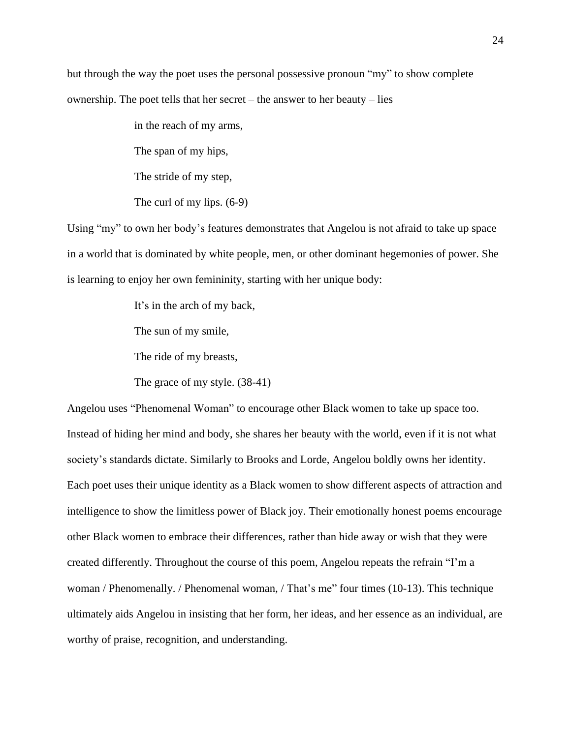but through the way the poet uses the personal possessive pronoun "my" to show complete ownership. The poet tells that her secret – the answer to her beauty – lies

> in the reach of my arms, The span of my hips, The stride of my step, The curl of my lips. (6-9)

Using "my" to own her body's features demonstrates that Angelou is not afraid to take up space in a world that is dominated by white people, men, or other dominant hegemonies of power. She is learning to enjoy her own femininity, starting with her unique body:

It's in the arch of my back,

The sun of my smile,

The ride of my breasts,

The grace of my style. (38-41)

Angelou uses "Phenomenal Woman" to encourage other Black women to take up space too. Instead of hiding her mind and body, she shares her beauty with the world, even if it is not what society's standards dictate. Similarly to Brooks and Lorde, Angelou boldly owns her identity. Each poet uses their unique identity as a Black women to show different aspects of attraction and intelligence to show the limitless power of Black joy. Their emotionally honest poems encourage other Black women to embrace their differences, rather than hide away or wish that they were created differently. Throughout the course of this poem, Angelou repeats the refrain "I'm a woman / Phenomenally. / Phenomenal woman, / That's me" four times (10-13). This technique ultimately aids Angelou in insisting that her form, her ideas, and her essence as an individual, are worthy of praise, recognition, and understanding.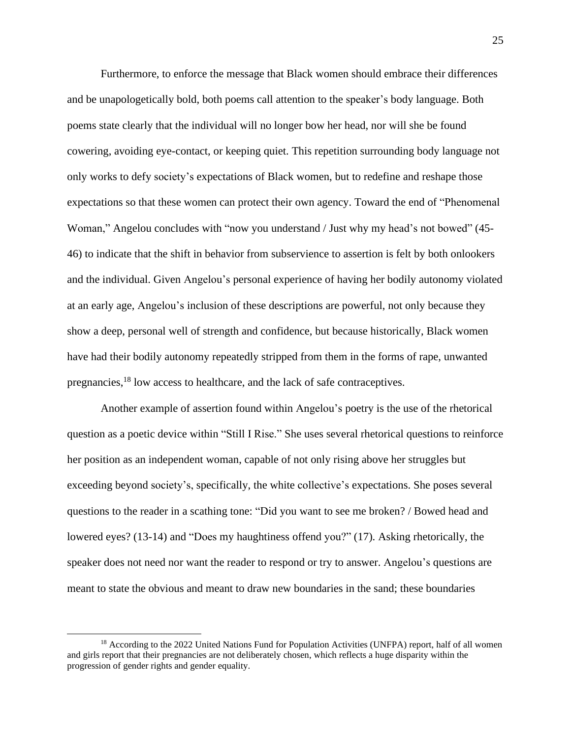Furthermore, to enforce the message that Black women should embrace their differences and be unapologetically bold, both poems call attention to the speaker's body language. Both poems state clearly that the individual will no longer bow her head, nor will she be found cowering, avoiding eye-contact, or keeping quiet. This repetition surrounding body language not only works to defy society's expectations of Black women, but to redefine and reshape those expectations so that these women can protect their own agency. Toward the end of "Phenomenal Woman," Angelou concludes with "now you understand / Just why my head's not bowed" (45- 46) to indicate that the shift in behavior from subservience to assertion is felt by both onlookers and the individual. Given Angelou's personal experience of having her bodily autonomy violated at an early age, Angelou's inclusion of these descriptions are powerful, not only because they show a deep, personal well of strength and confidence, but because historically, Black women have had their bodily autonomy repeatedly stripped from them in the forms of rape, unwanted pregnancies,<sup>18</sup> low access to healthcare, and the lack of safe contraceptives.

Another example of assertion found within Angelou's poetry is the use of the rhetorical question as a poetic device within "Still I Rise." She uses several rhetorical questions to reinforce her position as an independent woman, capable of not only rising above her struggles but exceeding beyond society's, specifically, the white collective's expectations. She poses several questions to the reader in a scathing tone: "Did you want to see me broken? / Bowed head and lowered eyes? (13-14) and "Does my haughtiness offend you?" (17). Asking rhetorically, the speaker does not need nor want the reader to respond or try to answer. Angelou's questions are meant to state the obvious and meant to draw new boundaries in the sand; these boundaries

<sup>&</sup>lt;sup>18</sup> According to the 2022 United Nations Fund for Population Activities (UNFPA) report, half of all women and girls report that their pregnancies are not deliberately chosen, which reflects a huge disparity within the progression of gender rights and gender equality.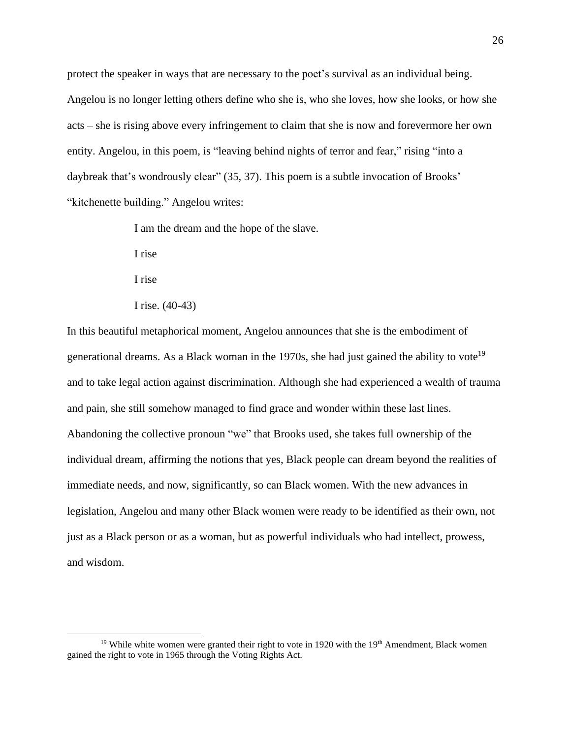protect the speaker in ways that are necessary to the poet's survival as an individual being. Angelou is no longer letting others define who she is, who she loves, how she looks, or how she acts – she is rising above every infringement to claim that she is now and forevermore her own entity. Angelou, in this poem, is "leaving behind nights of terror and fear," rising "into a daybreak that's wondrously clear" (35, 37). This poem is a subtle invocation of Brooks' "kitchenette building." Angelou writes:

I am the dream and the hope of the slave.

I rise

I rise

I rise. (40-43)

In this beautiful metaphorical moment, Angelou announces that she is the embodiment of generational dreams. As a Black woman in the 1970s, she had just gained the ability to vote<sup>19</sup> and to take legal action against discrimination. Although she had experienced a wealth of trauma and pain, she still somehow managed to find grace and wonder within these last lines. Abandoning the collective pronoun "we" that Brooks used, she takes full ownership of the individual dream, affirming the notions that yes, Black people can dream beyond the realities of immediate needs, and now, significantly, so can Black women. With the new advances in legislation, Angelou and many other Black women were ready to be identified as their own, not just as a Black person or as a woman, but as powerful individuals who had intellect, prowess, and wisdom.

<sup>&</sup>lt;sup>19</sup> While white women were granted their right to vote in 1920 with the  $19<sup>th</sup>$  Amendment, Black women gained the right to vote in 1965 through the Voting Rights Act.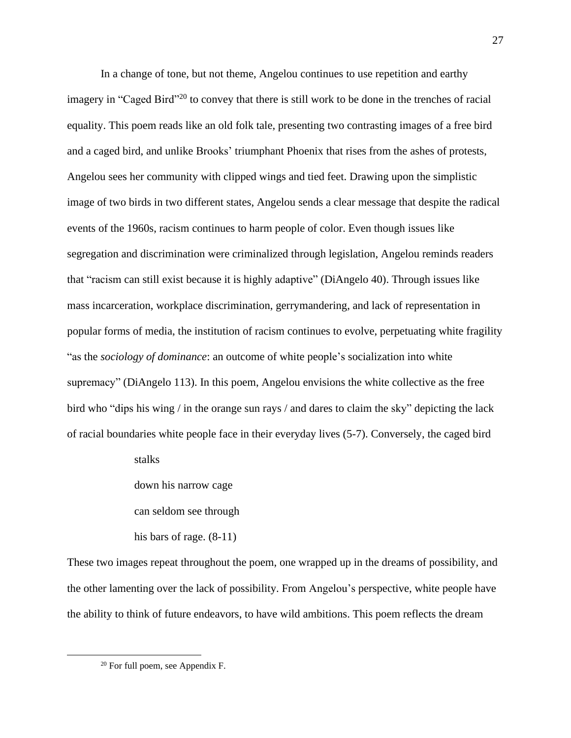In a change of tone, but not theme, Angelou continues to use repetition and earthy imagery in "Caged Bird"<sup>20</sup> to convey that there is still work to be done in the trenches of racial equality. This poem reads like an old folk tale, presenting two contrasting images of a free bird and a caged bird, and unlike Brooks' triumphant Phoenix that rises from the ashes of protests, Angelou sees her community with clipped wings and tied feet. Drawing upon the simplistic image of two birds in two different states, Angelou sends a clear message that despite the radical events of the 1960s, racism continues to harm people of color. Even though issues like segregation and discrimination were criminalized through legislation, Angelou reminds readers that "racism can still exist because it is highly adaptive" (DiAngelo 40). Through issues like mass incarceration, workplace discrimination, gerrymandering, and lack of representation in popular forms of media, the institution of racism continues to evolve, perpetuating white fragility "as the *sociology of dominance*: an outcome of white people's socialization into white supremacy" (DiAngelo 113). In this poem, Angelou envisions the white collective as the free bird who "dips his wing / in the orange sun rays / and dares to claim the sky" depicting the lack of racial boundaries white people face in their everyday lives (5-7). Conversely, the caged bird

stalks

down his narrow cage

can seldom see through

his bars of rage.  $(8-11)$ 

These two images repeat throughout the poem, one wrapped up in the dreams of possibility, and the other lamenting over the lack of possibility. From Angelou's perspective, white people have the ability to think of future endeavors, to have wild ambitions. This poem reflects the dream

<sup>20</sup> For full poem, see Appendix F.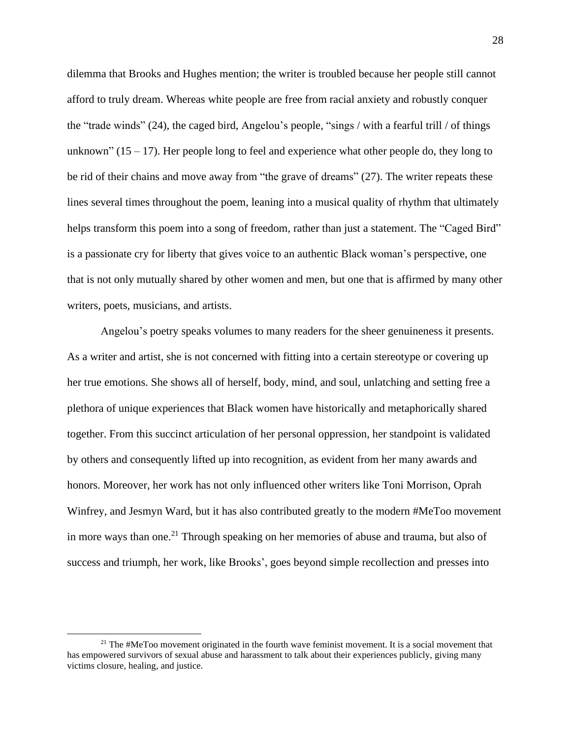dilemma that Brooks and Hughes mention; the writer is troubled because her people still cannot afford to truly dream. Whereas white people are free from racial anxiety and robustly conquer the "trade winds" (24), the caged bird, Angelou's people, "sings / with a fearful trill / of things unknown"  $(15 - 17)$ . Her people long to feel and experience what other people do, they long to be rid of their chains and move away from "the grave of dreams" (27). The writer repeats these lines several times throughout the poem, leaning into a musical quality of rhythm that ultimately helps transform this poem into a song of freedom, rather than just a statement. The "Caged Bird" is a passionate cry for liberty that gives voice to an authentic Black woman's perspective, one that is not only mutually shared by other women and men, but one that is affirmed by many other writers, poets, musicians, and artists.

Angelou's poetry speaks volumes to many readers for the sheer genuineness it presents. As a writer and artist, she is not concerned with fitting into a certain stereotype or covering up her true emotions. She shows all of herself, body, mind, and soul, unlatching and setting free a plethora of unique experiences that Black women have historically and metaphorically shared together. From this succinct articulation of her personal oppression, her standpoint is validated by others and consequently lifted up into recognition, as evident from her many awards and honors. Moreover, her work has not only influenced other writers like Toni Morrison, Oprah Winfrey, and Jesmyn Ward, but it has also contributed greatly to the modern #MeToo movement in more ways than one.<sup>21</sup> Through speaking on her memories of abuse and trauma, but also of success and triumph, her work, like Brooks', goes beyond simple recollection and presses into

<sup>&</sup>lt;sup>21</sup> The #MeToo movement originated in the fourth wave feminist movement. It is a social movement that has empowered survivors of sexual abuse and harassment to talk about their experiences publicly, giving many victims closure, healing, and justice.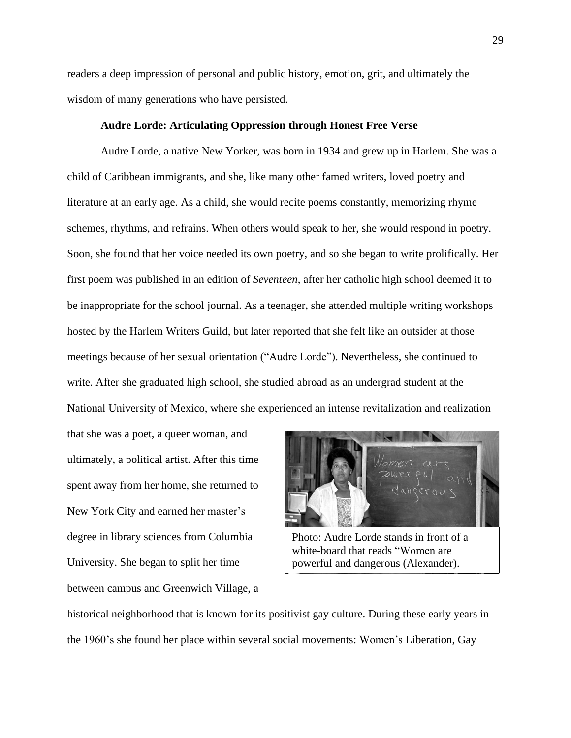readers a deep impression of personal and public history, emotion, grit, and ultimately the wisdom of many generations who have persisted.

## **Audre Lorde: Articulating Oppression through Honest Free Verse**

Audre Lorde, a native New Yorker, was born in 1934 and grew up in Harlem. She was a child of Caribbean immigrants, and she, like many other famed writers, loved poetry and literature at an early age. As a child, she would recite poems constantly, memorizing rhyme schemes, rhythms, and refrains. When others would speak to her, she would respond in poetry. Soon, she found that her voice needed its own poetry, and so she began to write prolifically. Her first poem was published in an edition of *Seventeen*, after her catholic high school deemed it to be inappropriate for the school journal. As a teenager, she attended multiple writing workshops hosted by the Harlem Writers Guild, but later reported that she felt like an outsider at those meetings because of her sexual orientation ("Audre Lorde"). Nevertheless, she continued to write. After she graduated high school, she studied abroad as an undergrad student at the National University of Mexico, where she experienced an intense revitalization and realization

that she was a poet, a queer woman, and ultimately, a political artist. After this time spent away from her home, she returned to New York City and earned her master's degree in library sciences from Columbia University. She began to split her time between campus and Greenwich Village, a



Photo: Audre Lorde stands in front of a white-board that reads "Women are powerful and dangerous (Alexander).

historical neighborhood that is known for its positivist gay culture. During these early years in the 1960's she found her place within several social movements: Women's Liberation, Gay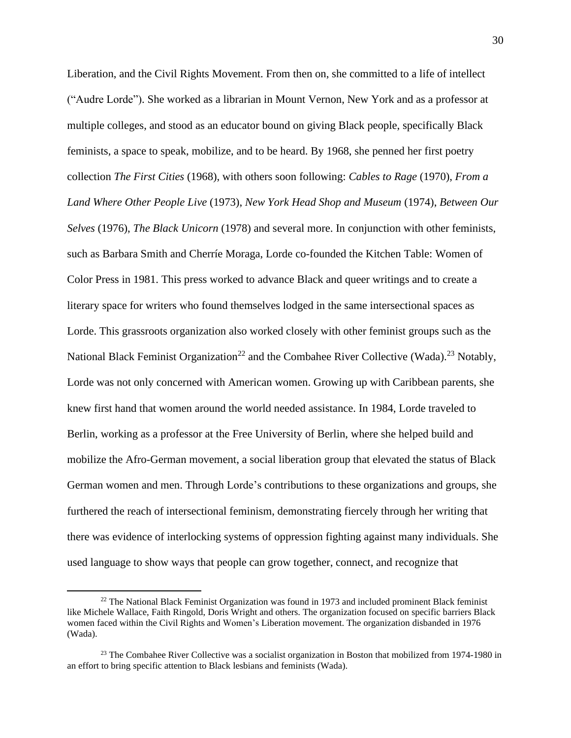Liberation, and the Civil Rights Movement. From then on, she committed to a life of intellect ("Audre Lorde"). She worked as a librarian in Mount Vernon, New York and as a professor at multiple colleges, and stood as an educator bound on giving Black people, specifically Black feminists, a space to speak, mobilize, and to be heard. By 1968, she penned her first poetry collection *The First Cities* (1968), with others soon following: *Cables to Rage* (1970), *From a Land Where Other People Live* (1973), *New York Head Shop and Museum* (1974), *Between Our Selves* (1976), *The Black Unicorn* (1978) and several more. In conjunction with other feminists, such as Barbara Smith and Cherríe Moraga, Lorde co-founded the Kitchen Table: Women of Color Press in 1981. This press worked to advance Black and queer writings and to create a literary space for writers who found themselves lodged in the same intersectional spaces as Lorde. This grassroots organization also worked closely with other feminist groups such as the National Black Feminist Organization<sup>22</sup> and the Combahee River Collective (Wada).<sup>23</sup> Notably, Lorde was not only concerned with American women. Growing up with Caribbean parents, she knew first hand that women around the world needed assistance. In 1984, Lorde traveled to Berlin, working as a professor at the Free University of Berlin, where she helped build and mobilize the Afro-German movement, a social liberation group that elevated the status of Black German women and men. Through Lorde's contributions to these organizations and groups, she furthered the reach of intersectional feminism, demonstrating fiercely through her writing that there was evidence of interlocking systems of oppression fighting against many individuals. She used language to show ways that people can grow together, connect, and recognize that

 $22$  The National Black Feminist Organization was found in 1973 and included prominent Black feminist like Michele Wallace, Faith Ringold, Doris Wright and others. The organization focused on specific barriers Black women faced within the Civil Rights and Women's Liberation movement. The organization disbanded in 1976 (Wada).

<sup>&</sup>lt;sup>23</sup> The Combahee River Collective was a socialist organization in Boston that mobilized from 1974-1980 in an effort to bring specific attention to Black lesbians and feminists (Wada).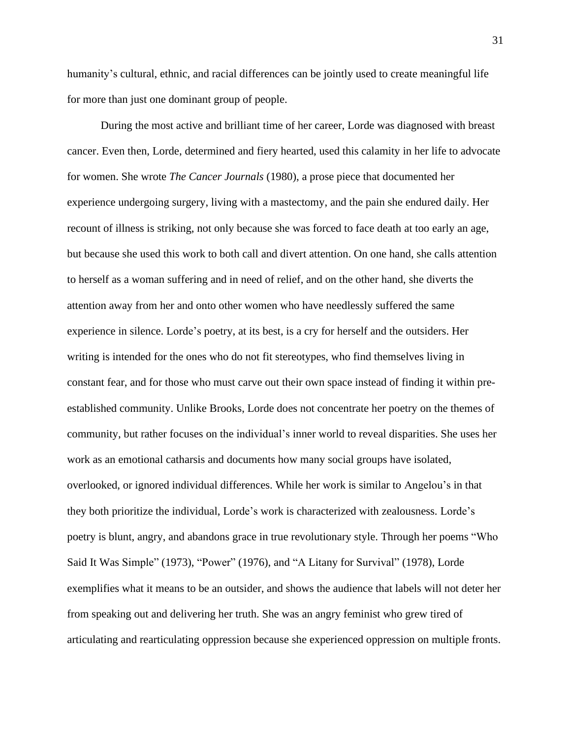humanity's cultural, ethnic, and racial differences can be jointly used to create meaningful life for more than just one dominant group of people.

During the most active and brilliant time of her career, Lorde was diagnosed with breast cancer. Even then, Lorde, determined and fiery hearted, used this calamity in her life to advocate for women. She wrote *The Cancer Journals* (1980), a prose piece that documented her experience undergoing surgery, living with a mastectomy, and the pain she endured daily. Her recount of illness is striking, not only because she was forced to face death at too early an age, but because she used this work to both call and divert attention. On one hand, she calls attention to herself as a woman suffering and in need of relief, and on the other hand, she diverts the attention away from her and onto other women who have needlessly suffered the same experience in silence. Lorde's poetry, at its best, is a cry for herself and the outsiders. Her writing is intended for the ones who do not fit stereotypes, who find themselves living in constant fear, and for those who must carve out their own space instead of finding it within preestablished community. Unlike Brooks, Lorde does not concentrate her poetry on the themes of community, but rather focuses on the individual's inner world to reveal disparities. She uses her work as an emotional catharsis and documents how many social groups have isolated, overlooked, or ignored individual differences. While her work is similar to Angelou's in that they both prioritize the individual, Lorde's work is characterized with zealousness. Lorde's poetry is blunt, angry, and abandons grace in true revolutionary style. Through her poems "Who Said It Was Simple" (1973), "Power" (1976), and "A Litany for Survival" (1978), Lorde exemplifies what it means to be an outsider, and shows the audience that labels will not deter her from speaking out and delivering her truth. She was an angry feminist who grew tired of articulating and rearticulating oppression because she experienced oppression on multiple fronts.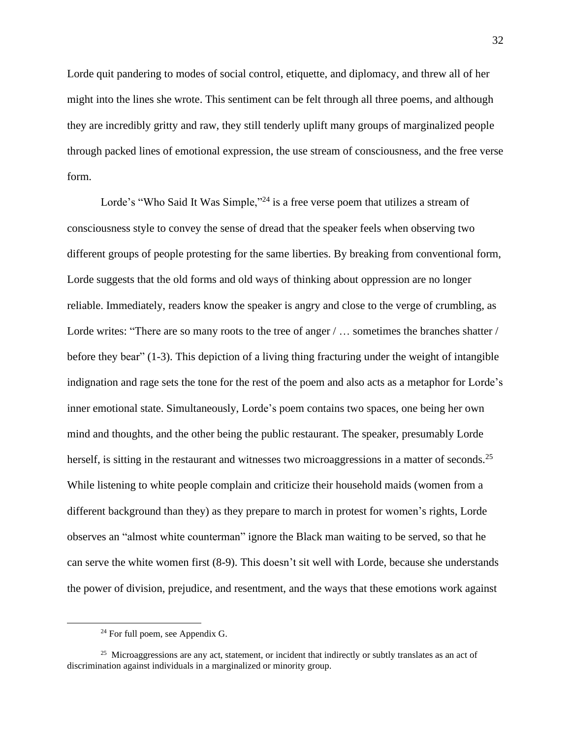Lorde quit pandering to modes of social control, etiquette, and diplomacy, and threw all of her might into the lines she wrote. This sentiment can be felt through all three poems, and although they are incredibly gritty and raw, they still tenderly uplift many groups of marginalized people through packed lines of emotional expression, the use stream of consciousness, and the free verse form.

Lorde's "Who Said It Was Simple,"<sup>24</sup> is a free verse poem that utilizes a stream of consciousness style to convey the sense of dread that the speaker feels when observing two different groups of people protesting for the same liberties. By breaking from conventional form, Lorde suggests that the old forms and old ways of thinking about oppression are no longer reliable. Immediately, readers know the speaker is angry and close to the verge of crumbling, as Lorde writes: "There are so many roots to the tree of anger  $/ \dots$  sometimes the branches shatter  $/ \dots$ before they bear" (1-3). This depiction of a living thing fracturing under the weight of intangible indignation and rage sets the tone for the rest of the poem and also acts as a metaphor for Lorde's inner emotional state. Simultaneously, Lorde's poem contains two spaces, one being her own mind and thoughts, and the other being the public restaurant. The speaker, presumably Lorde herself, is sitting in the restaurant and witnesses two microaggressions in a matter of seconds.<sup>25</sup> While listening to white people complain and criticize their household maids (women from a different background than they) as they prepare to march in protest for women's rights, Lorde observes an "almost white counterman" ignore the Black man waiting to be served, so that he can serve the white women first (8-9). This doesn't sit well with Lorde, because she understands the power of division, prejudice, and resentment, and the ways that these emotions work against

 $24$  For full poem, see Appendix G.

<sup>&</sup>lt;sup>25</sup> Microaggressions are any act, statement, or incident that indirectly or subtly translates as an act of discrimination against individuals in a marginalized or minority group.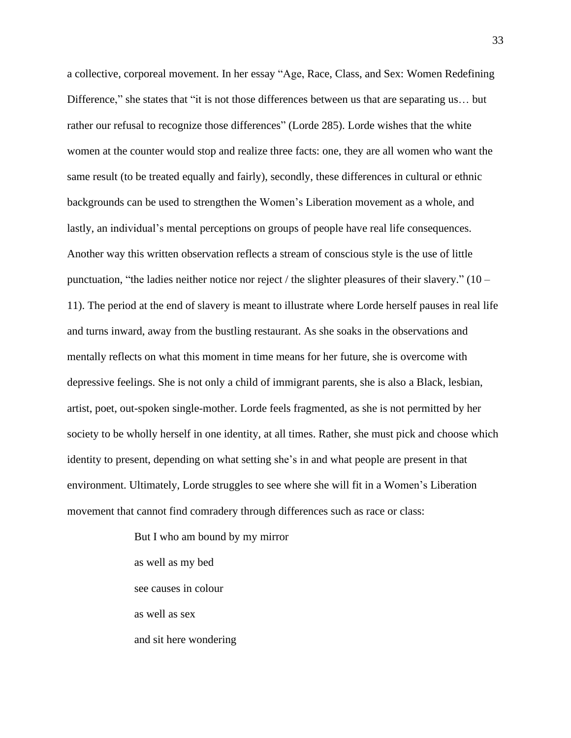a collective, corporeal movement. In her essay "Age, Race, Class, and Sex: Women Redefining Difference," she states that "it is not those differences between us that are separating us... but rather our refusal to recognize those differences" (Lorde 285). Lorde wishes that the white women at the counter would stop and realize three facts: one, they are all women who want the same result (to be treated equally and fairly), secondly, these differences in cultural or ethnic backgrounds can be used to strengthen the Women's Liberation movement as a whole, and lastly, an individual's mental perceptions on groups of people have real life consequences. Another way this written observation reflects a stream of conscious style is the use of little punctuation, "the ladies neither notice nor reject / the slighter pleasures of their slavery." (10 – 11). The period at the end of slavery is meant to illustrate where Lorde herself pauses in real life and turns inward, away from the bustling restaurant. As she soaks in the observations and mentally reflects on what this moment in time means for her future, she is overcome with depressive feelings. She is not only a child of immigrant parents, she is also a Black, lesbian, artist, poet, out-spoken single-mother. Lorde feels fragmented, as she is not permitted by her society to be wholly herself in one identity, at all times. Rather, she must pick and choose which identity to present, depending on what setting she's in and what people are present in that environment. Ultimately, Lorde struggles to see where she will fit in a Women's Liberation movement that cannot find comradery through differences such as race or class:

> But I who am bound by my mirror as well as my bed see causes in colour as well as sex and sit here wondering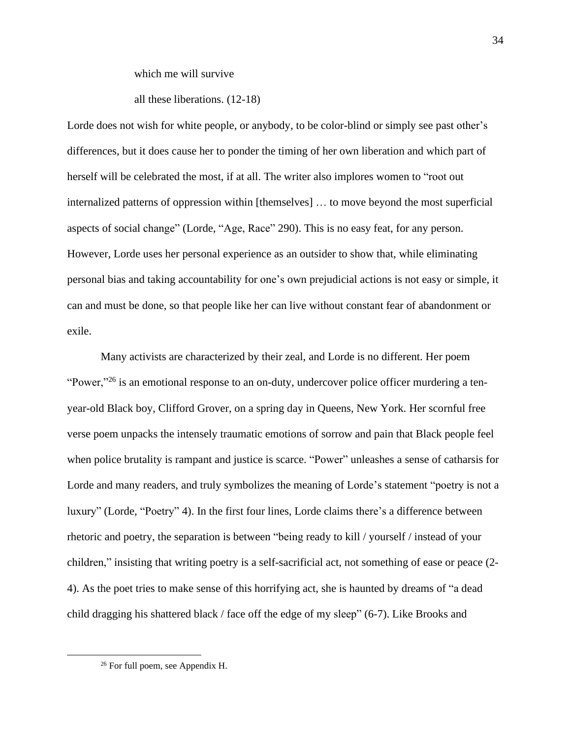which me will survive

all these liberations. (12-18)

Lorde does not wish for white people, or anybody, to be color-blind or simply see past other's differences, but it does cause her to ponder the timing of her own liberation and which part of herself will be celebrated the most, if at all. The writer also implores women to "root out internalized patterns of oppression within [themselves] … to move beyond the most superficial aspects of social change" (Lorde, "Age, Race" 290). This is no easy feat, for any person. However, Lorde uses her personal experience as an outsider to show that, while eliminating personal bias and taking accountability for one's own prejudicial actions is not easy or simple, it can and must be done, so that people like her can live without constant fear of abandonment or exile.

Many activists are characterized by their zeal, and Lorde is no different. Her poem "Power,"<sup>26</sup> is an emotional response to an on-duty, undercover police officer murdering a tenyear-old Black boy, Clifford Grover, on a spring day in Queens, New York. Her scornful free verse poem unpacks the intensely traumatic emotions of sorrow and pain that Black people feel when police brutality is rampant and justice is scarce. "Power" unleashes a sense of catharsis for Lorde and many readers, and truly symbolizes the meaning of Lorde's statement "poetry is not a luxury" (Lorde, "Poetry" 4). In the first four lines, Lorde claims there's a difference between rhetoric and poetry, the separation is between "being ready to kill / yourself / instead of your children," insisting that writing poetry is a self-sacrificial act, not something of ease or peace (2- 4). As the poet tries to make sense of this horrifying act, she is haunted by dreams of "a dead child dragging his shattered black / face off the edge of my sleep" (6-7). Like Brooks and

<sup>26</sup> For full poem, see Appendix H.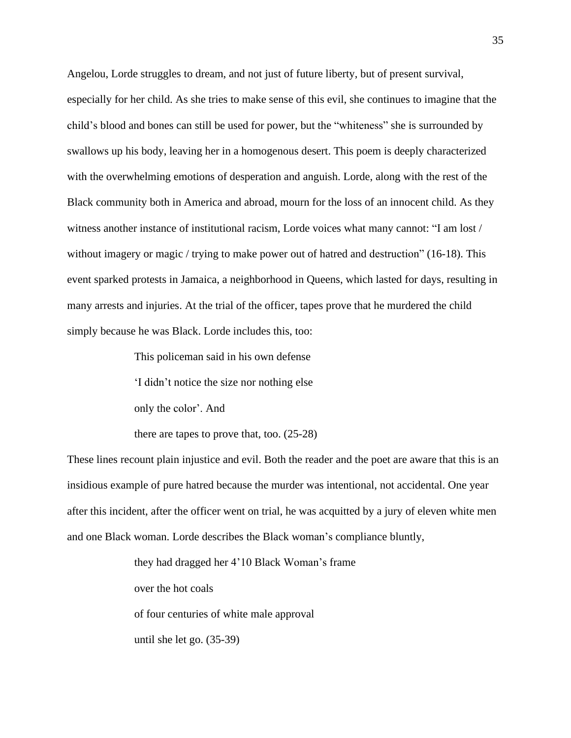Angelou, Lorde struggles to dream, and not just of future liberty, but of present survival, especially for her child. As she tries to make sense of this evil, she continues to imagine that the child's blood and bones can still be used for power, but the "whiteness" she is surrounded by swallows up his body, leaving her in a homogenous desert. This poem is deeply characterized with the overwhelming emotions of desperation and anguish. Lorde, along with the rest of the Black community both in America and abroad, mourn for the loss of an innocent child. As they witness another instance of institutional racism, Lorde voices what many cannot: "I am lost / without imagery or magic / trying to make power out of hatred and destruction" (16-18). This event sparked protests in Jamaica, a neighborhood in Queens, which lasted for days, resulting in many arrests and injuries. At the trial of the officer, tapes prove that he murdered the child simply because he was Black. Lorde includes this, too:

This policeman said in his own defense

'I didn't notice the size nor nothing else

only the color'. And

there are tapes to prove that, too. (25-28)

These lines recount plain injustice and evil. Both the reader and the poet are aware that this is an insidious example of pure hatred because the murder was intentional, not accidental. One year after this incident, after the officer went on trial, he was acquitted by a jury of eleven white men and one Black woman. Lorde describes the Black woman's compliance bluntly,

> they had dragged her 4'10 Black Woman's frame over the hot coals of four centuries of white male approval until she let go. (35-39)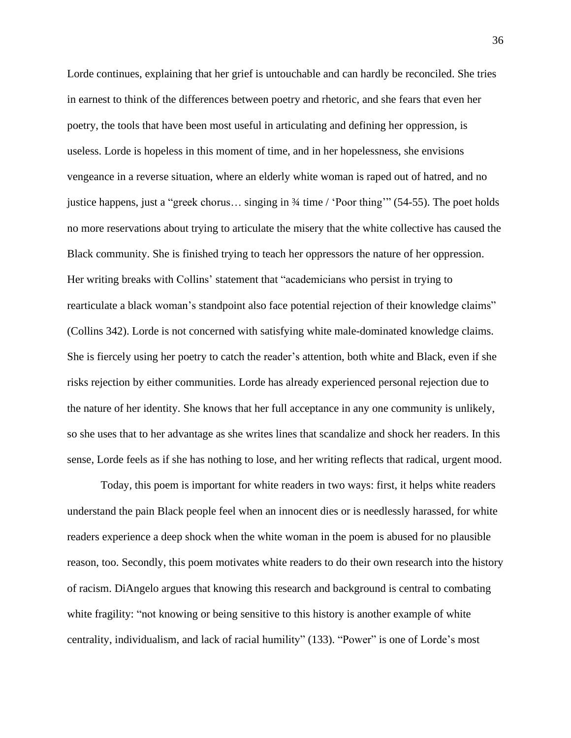Lorde continues, explaining that her grief is untouchable and can hardly be reconciled. She tries in earnest to think of the differences between poetry and rhetoric, and she fears that even her poetry, the tools that have been most useful in articulating and defining her oppression, is useless. Lorde is hopeless in this moment of time, and in her hopelessness, she envisions vengeance in a reverse situation, where an elderly white woman is raped out of hatred, and no justice happens, just a "greek chorus… singing in ¾ time / 'Poor thing'" (54-55). The poet holds no more reservations about trying to articulate the misery that the white collective has caused the Black community. She is finished trying to teach her oppressors the nature of her oppression. Her writing breaks with Collins' statement that "academicians who persist in trying to rearticulate a black woman's standpoint also face potential rejection of their knowledge claims" (Collins 342). Lorde is not concerned with satisfying white male-dominated knowledge claims. She is fiercely using her poetry to catch the reader's attention, both white and Black, even if she risks rejection by either communities. Lorde has already experienced personal rejection due to the nature of her identity. She knows that her full acceptance in any one community is unlikely, so she uses that to her advantage as she writes lines that scandalize and shock her readers. In this sense, Lorde feels as if she has nothing to lose, and her writing reflects that radical, urgent mood.

Today, this poem is important for white readers in two ways: first, it helps white readers understand the pain Black people feel when an innocent dies or is needlessly harassed, for white readers experience a deep shock when the white woman in the poem is abused for no plausible reason, too. Secondly, this poem motivates white readers to do their own research into the history of racism. DiAngelo argues that knowing this research and background is central to combating white fragility: "not knowing or being sensitive to this history is another example of white centrality, individualism, and lack of racial humility" (133). "Power" is one of Lorde's most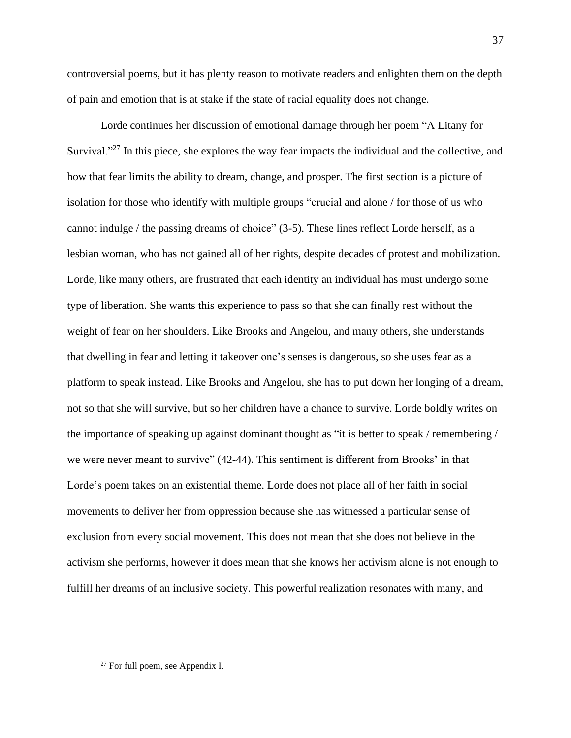controversial poems, but it has plenty reason to motivate readers and enlighten them on the depth of pain and emotion that is at stake if the state of racial equality does not change.

Lorde continues her discussion of emotional damage through her poem "A Litany for Survival."<sup>27</sup> In this piece, she explores the way fear impacts the individual and the collective, and how that fear limits the ability to dream, change, and prosper. The first section is a picture of isolation for those who identify with multiple groups "crucial and alone / for those of us who cannot indulge / the passing dreams of choice" (3-5). These lines reflect Lorde herself, as a lesbian woman, who has not gained all of her rights, despite decades of protest and mobilization. Lorde, like many others, are frustrated that each identity an individual has must undergo some type of liberation. She wants this experience to pass so that she can finally rest without the weight of fear on her shoulders. Like Brooks and Angelou, and many others, she understands that dwelling in fear and letting it takeover one's senses is dangerous, so she uses fear as a platform to speak instead. Like Brooks and Angelou, she has to put down her longing of a dream, not so that she will survive, but so her children have a chance to survive. Lorde boldly writes on the importance of speaking up against dominant thought as "it is better to speak / remembering / we were never meant to survive" (42-44). This sentiment is different from Brooks' in that Lorde's poem takes on an existential theme. Lorde does not place all of her faith in social movements to deliver her from oppression because she has witnessed a particular sense of exclusion from every social movement. This does not mean that she does not believe in the activism she performs, however it does mean that she knows her activism alone is not enough to fulfill her dreams of an inclusive society. This powerful realization resonates with many, and

<sup>27</sup> For full poem, see Appendix I.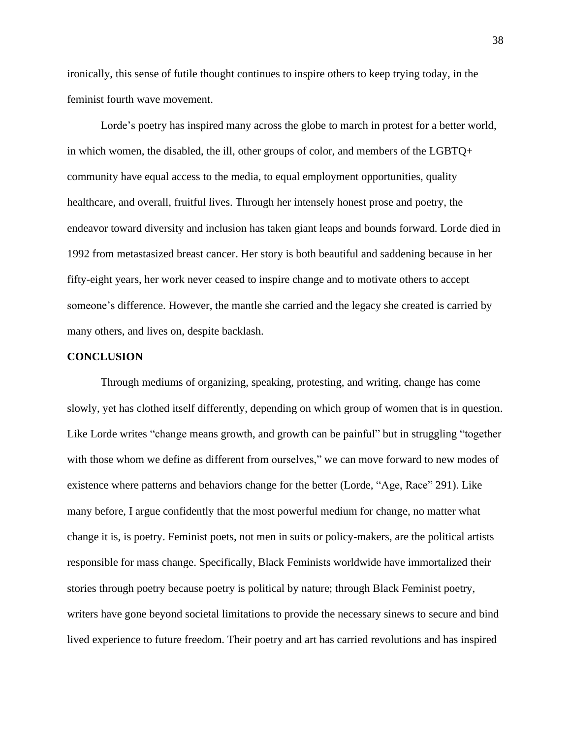ironically, this sense of futile thought continues to inspire others to keep trying today, in the feminist fourth wave movement.

Lorde's poetry has inspired many across the globe to march in protest for a better world, in which women, the disabled, the ill, other groups of color, and members of the LGBTQ+ community have equal access to the media, to equal employment opportunities, quality healthcare, and overall, fruitful lives. Through her intensely honest prose and poetry, the endeavor toward diversity and inclusion has taken giant leaps and bounds forward. Lorde died in 1992 from metastasized breast cancer. Her story is both beautiful and saddening because in her fifty-eight years, her work never ceased to inspire change and to motivate others to accept someone's difference. However, the mantle she carried and the legacy she created is carried by many others, and lives on, despite backlash.

## **CONCLUSION**

Through mediums of organizing, speaking, protesting, and writing, change has come slowly, yet has clothed itself differently, depending on which group of women that is in question. Like Lorde writes "change means growth, and growth can be painful" but in struggling "together with those whom we define as different from ourselves," we can move forward to new modes of existence where patterns and behaviors change for the better (Lorde, "Age, Race" 291). Like many before, I argue confidently that the most powerful medium for change, no matter what change it is, is poetry. Feminist poets, not men in suits or policy-makers, are the political artists responsible for mass change. Specifically, Black Feminists worldwide have immortalized their stories through poetry because poetry is political by nature; through Black Feminist poetry, writers have gone beyond societal limitations to provide the necessary sinews to secure and bind lived experience to future freedom. Their poetry and art has carried revolutions and has inspired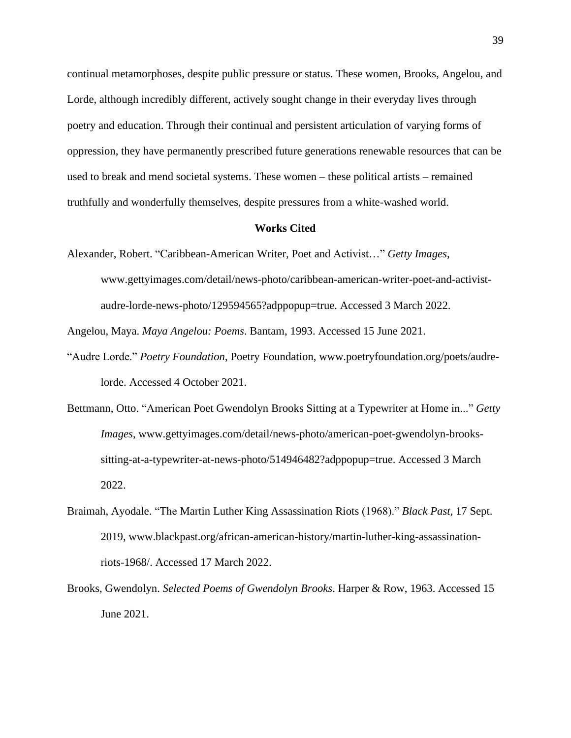continual metamorphoses, despite public pressure or status. These women, Brooks, Angelou, and Lorde, although incredibly different, actively sought change in their everyday lives through poetry and education. Through their continual and persistent articulation of varying forms of oppression, they have permanently prescribed future generations renewable resources that can be used to break and mend societal systems. These women – these political artists – remained truthfully and wonderfully themselves, despite pressures from a white-washed world.

## **Works Cited**

Alexander, Robert. "Caribbean-American Writer, Poet and Activist…" *Getty Images*, [www.gettyimages.com/detail/news-photo/caribbean-american-writer-poet-and-activist](http://www.gettyimages.com/detail/news-photo/caribbean-american-writer-poet-and-activist-audre-lorde-news-photo/129594565?adppopup=true)[audre-lorde-news-photo/129594565?adppopup=true.](http://www.gettyimages.com/detail/news-photo/caribbean-american-writer-poet-and-activist-audre-lorde-news-photo/129594565?adppopup=true) Accessed 3 March 2022.

Angelou, Maya. *Maya Angelou: Poems*. Bantam, 1993. Accessed 15 June 2021.

- "Audre Lorde." *Poetry Foundation*, Poetry Foundation, [www.poetryfoundation.org/poets/audre](http://www.poetryfoundation.org/poets/audre-lorde)[lorde.](http://www.poetryfoundation.org/poets/audre-lorde) Accessed 4 October 2021.
- Bettmann, Otto. "American Poet Gwendolyn Brooks Sitting at a Typewriter at Home in..." *Getty Images*, www.gettyimages.com/detail/news-photo/american-poet-gwendolyn-brookssitting-at-a-typewriter-at-news-photo/514946482?adppopup=true. Accessed 3 March 2022.
- Braimah, Ayodale. "The Martin Luther King Assassination Riots (1968)." *Black Past,* 17 Sept. 2019, www.blackpast.org/african-american-history/martin-luther-king-assassinationriots-1968/. Accessed 17 March 2022.
- Brooks, Gwendolyn. *Selected Poems of Gwendolyn Brooks*. Harper & Row, 1963. Accessed 15 June 2021.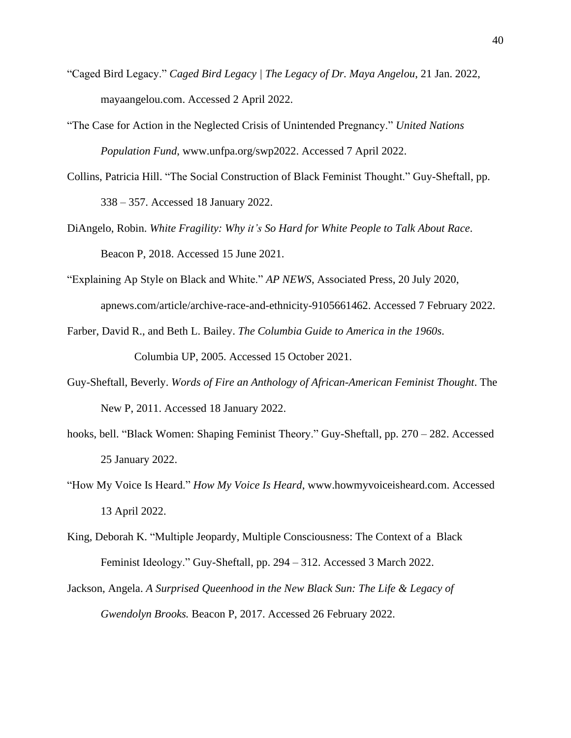- "Caged Bird Legacy." *Caged Bird Legacy | The Legacy of Dr. Maya Angelou*, 21 Jan. 2022, mayaangelou.com. Accessed 2 April 2022.
- "The Case for Action in the Neglected Crisis of Unintended Pregnancy." *United Nations Population Fund*, www.unfpa.org/swp2022. Accessed 7 April 2022.
- Collins, Patricia Hill. "The Social Construction of Black Feminist Thought." Guy-Sheftall, pp. 338 – 357. Accessed 18 January 2022.
- DiAngelo, Robin. *White Fragility: Why it's So Hard for White People to Talk About Race*. Beacon P, 2018. Accessed 15 June 2021.
- "Explaining Ap Style on Black and White." *AP NEWS*, Associated Press, 20 July 2020, apnews.com/article/archive-race-and-ethnicity-9105661462. Accessed 7 February 2022.
- Farber, David R., and Beth L. Bailey. *The Columbia Guide to America in the 1960s*. Columbia UP, 2005. Accessed 15 October 2021.
- Guy-Sheftall, Beverly. *Words of Fire an Anthology of African-American Feminist Thought*. The New P, 2011. Accessed 18 January 2022.
- hooks, bell. "Black Women: Shaping Feminist Theory." Guy-Sheftall, pp. 270 282. Accessed 25 January 2022.
- "How My Voice Is Heard." *How My Voice Is Heard*, [www.howmyvoiceisheard.com.](http://www.howmyvoiceisheard.com/) Accessed 13 April 2022.
- King, Deborah K. "Multiple Jeopardy, Multiple Consciousness: The Context of a Black Feminist Ideology." Guy-Sheftall, pp. 294 – 312. Accessed 3 March 2022.
- Jackson, Angela. *A Surprised Queenhood in the New Black Sun: The Life & Legacy of Gwendolyn Brooks.* Beacon P, 2017. Accessed 26 February 2022.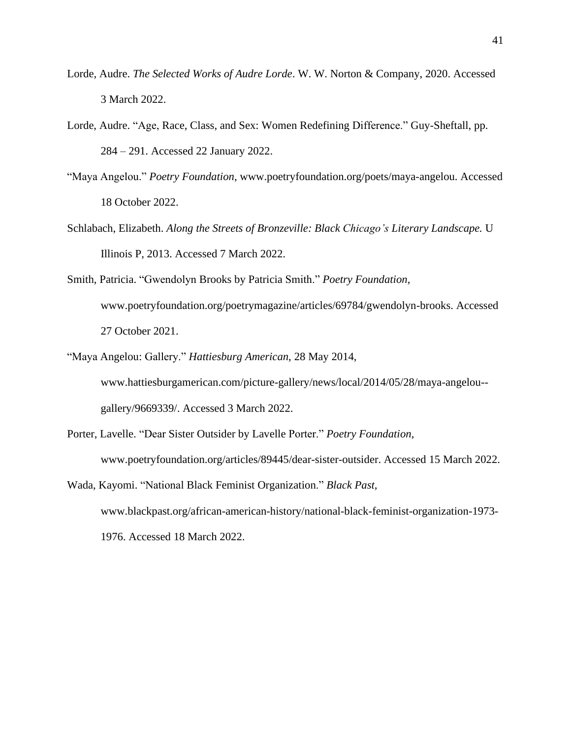- Lorde, Audre. *The Selected Works of Audre Lorde*. W. W. Norton & Company, 2020. Accessed 3 March 2022.
- Lorde, Audre. "Age, Race, Class, and Sex: Women Redefining Difference." Guy-Sheftall, pp. 284 – 291. Accessed 22 January 2022.
- "Maya Angelou." *Poetry Foundation*, www.poetryfoundation.org/poets/maya-angelou. Accessed 18 October 2022.
- Schlabach, Elizabeth. *Along the Streets of Bronzeville: Black Chicago's Literary Landscape.* U Illinois P, 2013. Accessed 7 March 2022.
- Smith, Patricia. "Gwendolyn Brooks by Patricia Smith." *Poetry Foundation*, www.poetryfoundation.org/poetrymagazine/articles/69784/gwendolyn-brooks. Accessed 27 October 2021.
- "Maya Angelou: Gallery." *Hattiesburg American*, 28 May 2014, www.hattiesburgamerican.com/picture-gallery/news/local/2014/05/28/maya-angelou- gallery/9669339/. Accessed 3 March 2022.
- Porter, Lavelle. "Dear Sister Outsider by Lavelle Porter." *Poetry Foundation*, www.poetryfoundation.org/articles/89445/dear-sister-outsider. Accessed 15 March 2022.
- Wada, Kayomi. "National Black Feminist Organization." *Black Past,* [www.blackpast.org/african-american-history/national-black-feminist-organization-1973-](http://www.blackpast.org/african-american-history/national-black-feminist-organization-1973-1976) [1976.](http://www.blackpast.org/african-american-history/national-black-feminist-organization-1973-1976) Accessed 18 March 2022.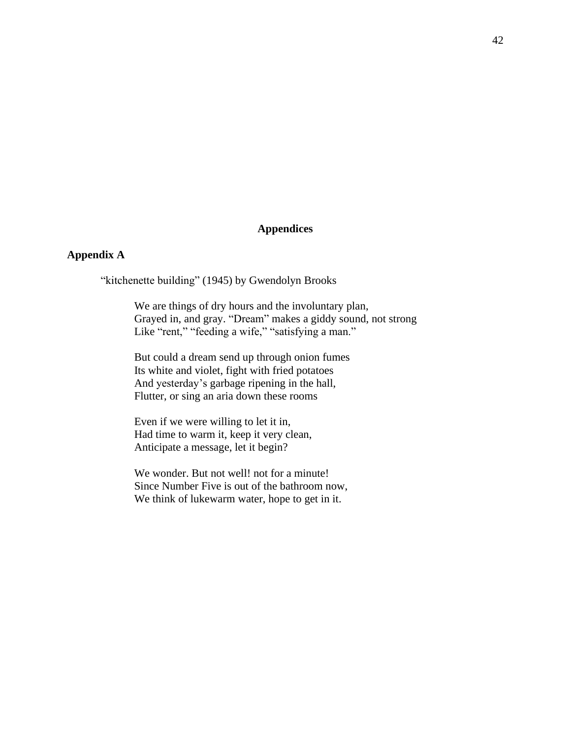## **Appendices**

## **Appendix A**

"kitchenette building" (1945) by Gwendolyn Brooks

We are things of dry hours and the involuntary plan, Grayed in, and gray. "Dream" makes a giddy sound, not strong Like "rent," "feeding a wife," "satisfying a man."

But could a dream send up through onion fumes Its white and violet, fight with fried potatoes And yesterday's garbage ripening in the hall, Flutter, or sing an aria down these rooms

Even if we were willing to let it in, Had time to warm it, keep it very clean, Anticipate a message, let it begin?

We wonder. But not well! not for a minute! Since Number Five is out of the bathroom now, We think of lukewarm water, hope to get in it.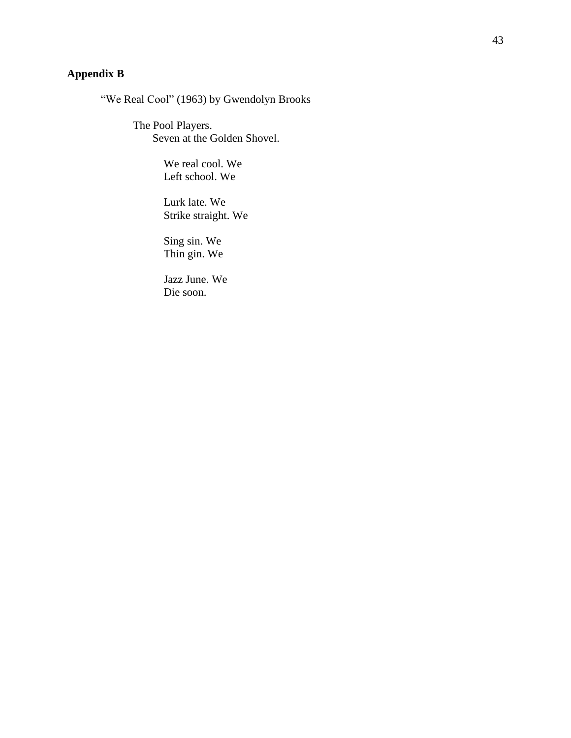## **Appendix B**

"We Real Cool" (1963) by Gwendolyn Brooks

The Pool Players. Seven at the Golden Shovel.

> We real cool. We Left school. We

Lurk late. We Strike straight. We

Sing sin. We Thin gin. We

Jazz June. We Die soon.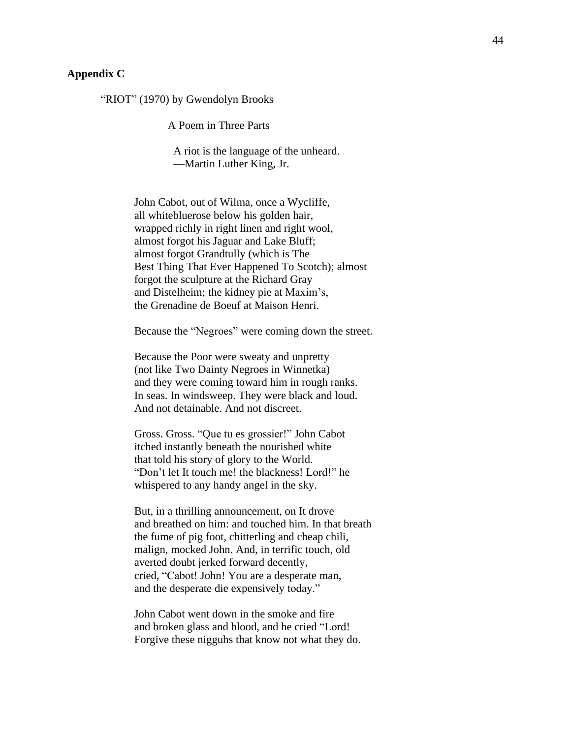"RIOT" (1970) by Gwendolyn Brooks

A Poem in Three Parts

A riot is the language of the unheard. —Martin Luther King, Jr.

John Cabot, out of Wilma, once a Wycliffe, all whitebluerose below his golden hair, wrapped richly in right linen and right wool, almost forgot his Jaguar and Lake Bluff; almost forgot Grandtully (which is The Best Thing That Ever Happened To Scotch); almost forgot the sculpture at the Richard Gray and Distelheim; the kidney pie at Maxim's, the Grenadine de Boeuf at Maison Henri.

Because the "Negroes" were coming down the street.

Because the Poor were sweaty and unpretty (not like Two Dainty Negroes in Winnetka) and they were coming toward him in rough ranks. In seas. In windsweep. They were black and loud. And not detainable. And not discreet.

Gross. Gross. "Que tu es grossier!" John Cabot itched instantly beneath the nourished white that told his story of glory to the World. "Don't let It touch me! the blackness! Lord!" he whispered to any handy angel in the sky.

But, in a thrilling announcement, on It drove and breathed on him: and touched him. In that breath the fume of pig foot, chitterling and cheap chili, malign, mocked John. And, in terrific touch, old averted doubt jerked forward decently, cried, "Cabot! John! You are a desperate man, and the desperate die expensively today."

John Cabot went down in the smoke and fire and broken glass and blood, and he cried "Lord! Forgive these nigguhs that know not what they do.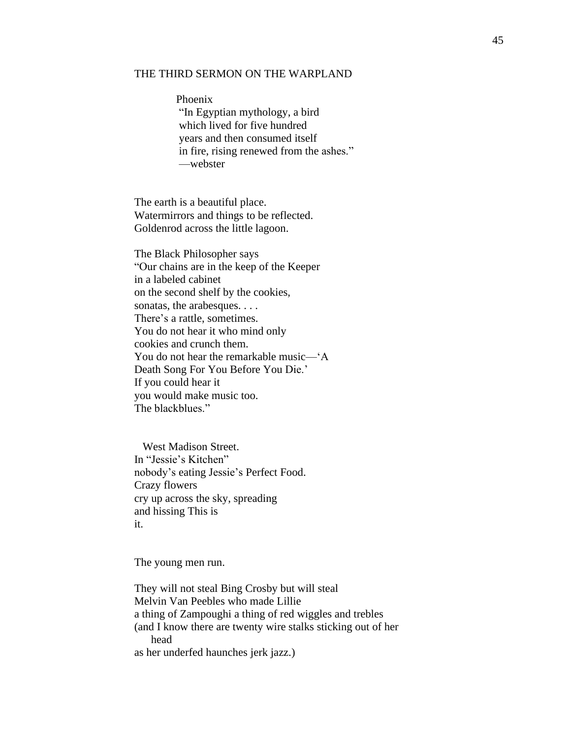## THE THIRD SERMON ON THE WARPLAND

Phoenix "In Egyptian mythology, a bird which lived for five hundred years and then consumed itself in fire, rising renewed from the ashes." —webster

The earth is a beautiful place. Watermirrors and things to be reflected. Goldenrod across the little lagoon.

The Black Philosopher says "Our chains are in the keep of the Keeper in a labeled cabinet on the second shelf by the cookies, sonatas, the arabesques. . . . There's a rattle, sometimes. You do not hear it who mind only cookies and crunch them. You do not hear the remarkable music—'A Death Song For You Before You Die.' If you could hear it you would make music too. The blackblues."

West Madison Street. In "Jessie's Kitchen" nobody's eating Jessie's Perfect Food. Crazy flowers cry up across the sky, spreading and hissing This is it.

The young men run.

They will not steal Bing Crosby but will steal Melvin Van Peebles who made Lillie a thing of Zampoughi a thing of red wiggles and trebles (and I know there are twenty wire stalks sticking out of her head as her underfed haunches jerk jazz.)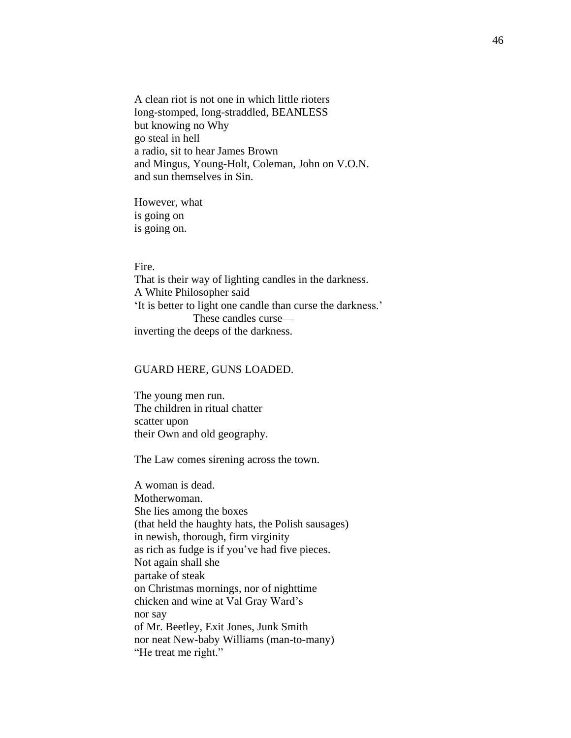A clean riot is not one in which little rioters long-stomped, long-straddled, BEANLESS but knowing no Why go steal in hell a radio, sit to hear James Brown and Mingus, Young-Holt, Coleman, John on V.O.N. and sun themselves in Sin.

However, what is going on is going on.

## Fire.

That is their way of lighting candles in the darkness. A White Philosopher said 'It is better to light one candle than curse the darkness.' These candles curse inverting the deeps of the darkness.

## GUARD HERE, GUNS LOADED.

The young men run. The children in ritual chatter scatter upon their Own and old geography.

The Law comes sirening across the town.

A woman is dead. Motherwoman. She lies among the boxes (that held the haughty hats, the Polish sausages) in newish, thorough, firm virginity as rich as fudge is if you've had five pieces. Not again shall she partake of steak on Christmas mornings, nor of nighttime chicken and wine at Val Gray Ward's nor say of Mr. Beetley, Exit Jones, Junk Smith nor neat New-baby Williams (man-to-many) "He treat me right."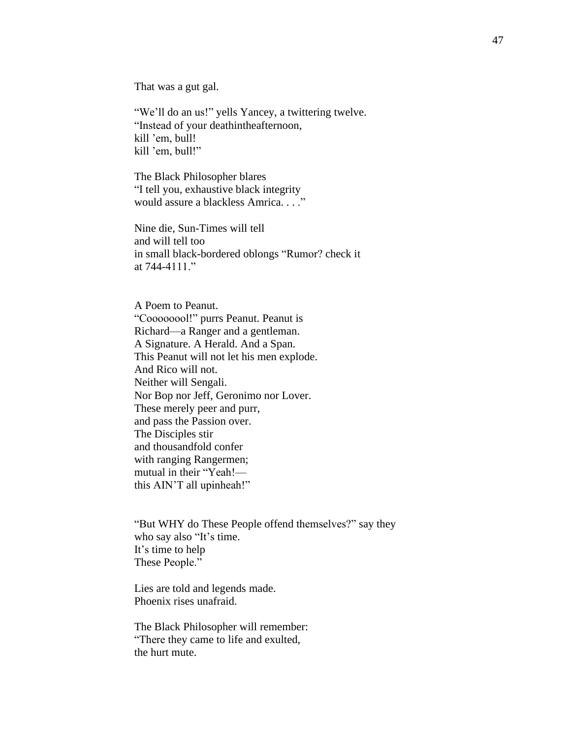That was a gut gal.

"We'll do an us!" yells Yancey, a twittering twelve. "Instead of your deathintheafternoon, kill 'em, bull! kill 'em, bull!"

The Black Philosopher blares "I tell you, exhaustive black integrity would assure a blackless Amrica. . . ."

Nine die, Sun-Times will tell and will tell too in small black-bordered oblongs "Rumor? check it at 744-4111."

A Poem to Peanut. "Coooooool!" purrs Peanut. Peanut is Richard—a Ranger and a gentleman. A Signature. A Herald. And a Span. This Peanut will not let his men explode. And Rico will not. Neither will Sengali. Nor Bop nor Jeff, Geronimo nor Lover. These merely peer and purr, and pass the Passion over. The Disciples stir and thousandfold confer with ranging Rangermen; mutual in their "Yeah! this AIN'T all upinheah!"

"But WHY do These People offend themselves?" say they who say also "It's time. It's time to help These People."

Lies are told and legends made. Phoenix rises unafraid.

The Black Philosopher will remember: "There they came to life and exulted, the hurt mute.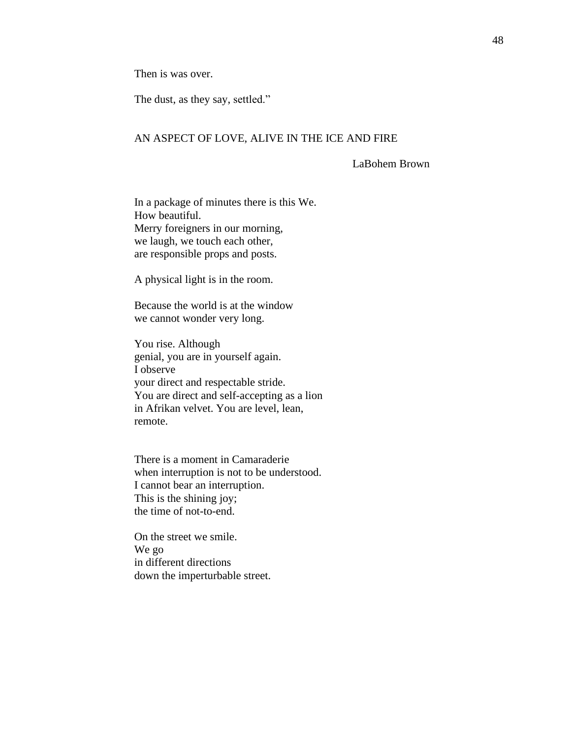Then is was over.

The dust, as they say, settled."

## AN ASPECT OF LOVE, ALIVE IN THE ICE AND FIRE

LaBohem Brown

In a package of minutes there is this We. How beautiful. Merry foreigners in our morning, we laugh, we touch each other, are responsible props and posts.

A physical light is in the room.

Because the world is at the window we cannot wonder very long.

You rise. Although genial, you are in yourself again. I observe your direct and respectable stride. You are direct and self-accepting as a lion in Afrikan velvet. You are level, lean, remote.

There is a moment in Camaraderie when interruption is not to be understood. I cannot bear an interruption. This is the shining joy; the time of not-to-end.

On the street we smile. We go in different directions down the imperturbable street.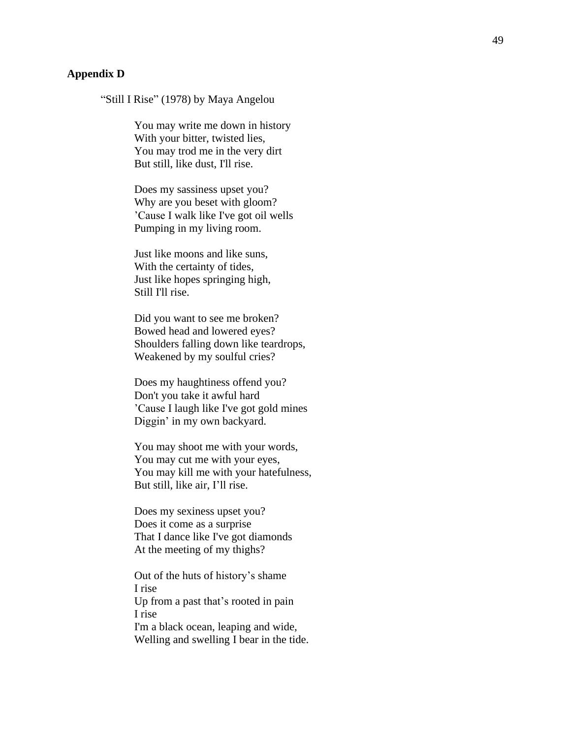## **Appendix D**

"Still I Rise " (1978) by Maya Angelou

You may write me down in history With your bitter, twisted lies, You may trod me in the very dirt But still, like dust, I'll rise.

Does my sassiness upset you? Why are you beset with gloom? 'Cause I walk like I've got oil wells Pumping in my living room.

Just like moons and like suns, With the certainty of tides, Just like hopes springing high, Still I'll rise.

Did you want to see me broken? Bowed head and lowered eyes? Shoulders falling down like teardrops, Weakened by my soulful cries?

Does my haughtiness offend you? Don't you take it awful hard 'Cause I laugh like I've got gold mines Diggin' in my own backyard.

You may shoot me with your words, You may cut me with your eyes, You may kill me with your hatefulness, But still, like air, I'll rise.

Does my sexiness upset you? Does it come as a surprise That I dance like I've got diamonds At the meeting of my thighs?

Out of the huts of history's shame I rise Up fro m a past that's rooted in pain I rise I'm a black ocean, leaping and wide, Welling and swelling I bear in the tide.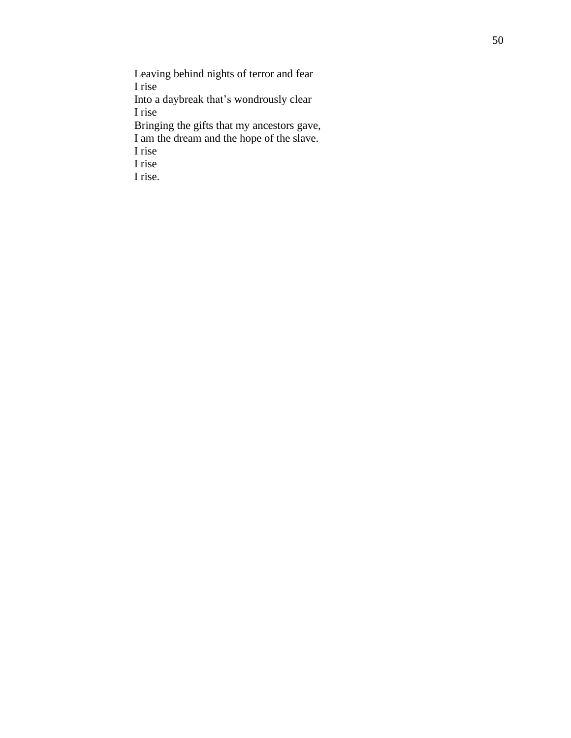Leaving behind nights of terror and fear I rise Into a daybreak that's wondrously clear I rise Bringing the gifts that my ancestors gave, I am the dream and the hope of the slave. I rise I rise

I rise.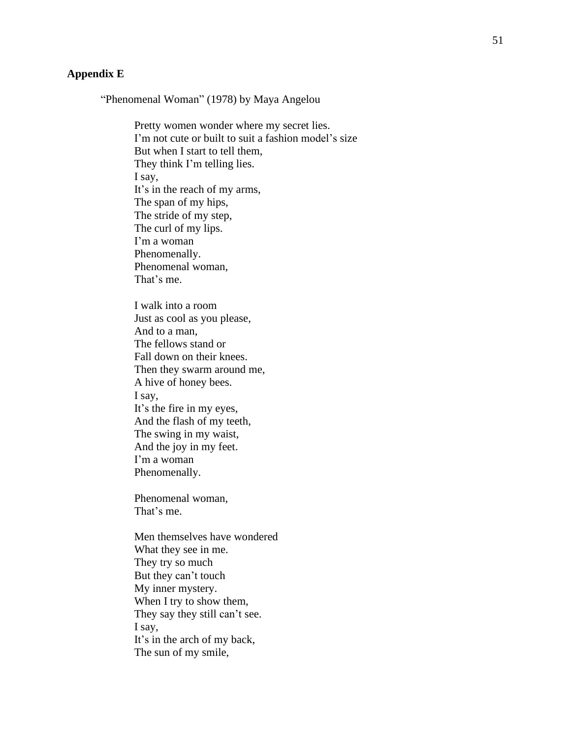## **Appendix E**

"Phenomenal Woman" (1978) by Maya Angelou

Pretty women wonder where my secret lies.

I'm not cute or built to suit a fashion model's size But when I start to tell them, They think I'm telling lies. I say, It's in the reach of my arms, The span of my hips, The stride of my step, The curl of my lips. I'm a woman Phenomenally. Phenomenal woman, That's me. I walk into a room Just as cool as you please, And to a man, The fellows stand or Fall down on their knees. Then they swarm around me, A hive of honey bees. I say, It's the fire in my eyes, And the flash of my teeth, The swing in my waist, And the joy in my feet. I'm a woman Phenomenally. Phenomenal woman, That's me. Men themselves have wondered What they see in me. They try so much But they can't touch My inner mystery. When I try to show them, They say they still can't see. I say, It's in the arch of my back, The sun of my smile,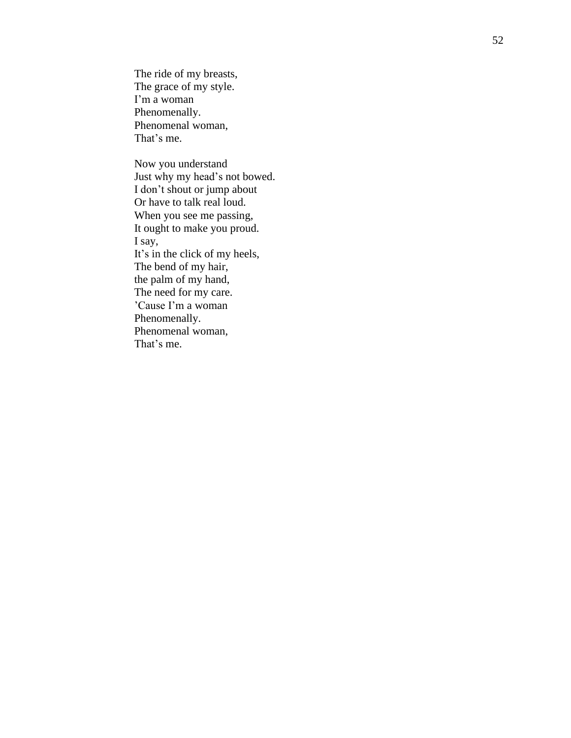The ride of my breasts, The grace of my style. I'm a woman Phenomenally. Phenomenal woman, That's me.

Now you understand Just why my head's not bowed. I don't shout or jump about Or have to talk real loud. When you see me passing, It ought to make you proud. I say, It's in the click of my heels, The bend of my hair, the palm of my hand, The need for my care. 'Cause I'm a woman Phenomenally. Phenomenal woman, That's me.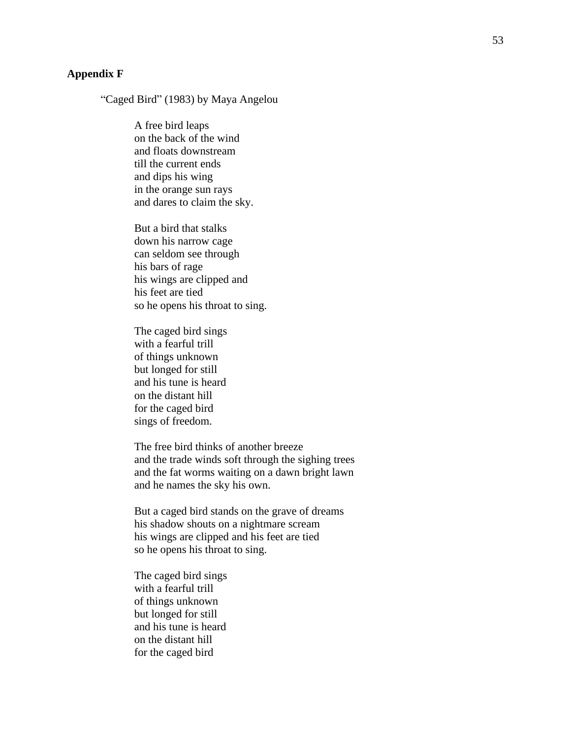## **Appendix F**

"Caged Bird" (1983) by Maya Angelou

A free bird leaps on the back of the wind and floats downstream till the current ends and dips his wing in the orange sun rays and dares to claim the sky.

But a bird that stalks down his narrow cage can seldom see through his bars of rage his wings are clipped and his feet are tied so he opens his throat to sing.

The caged bird sings with a fearful trill of things unknown but longed for still and his tune is heard on the distant hill for the caged bird sings of freedom.

The free bird thinks of another breeze and the trade winds soft through the sighing trees and the fat worms waiting on a dawn bright lawn and he names the sky his own.

But a caged bird stands on the grave of dreams his shadow shouts on a nightmare scream his wings are clipped and his feet are tied so he opens his throat to sing.

The caged bird sings with a fearful trill of things unknown but longed for still and his tune is heard on the distant hill for the caged bird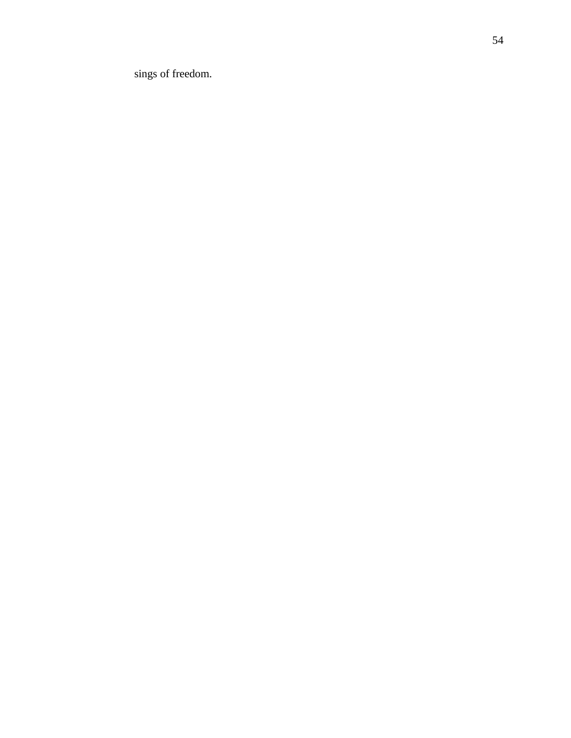sings of freedom.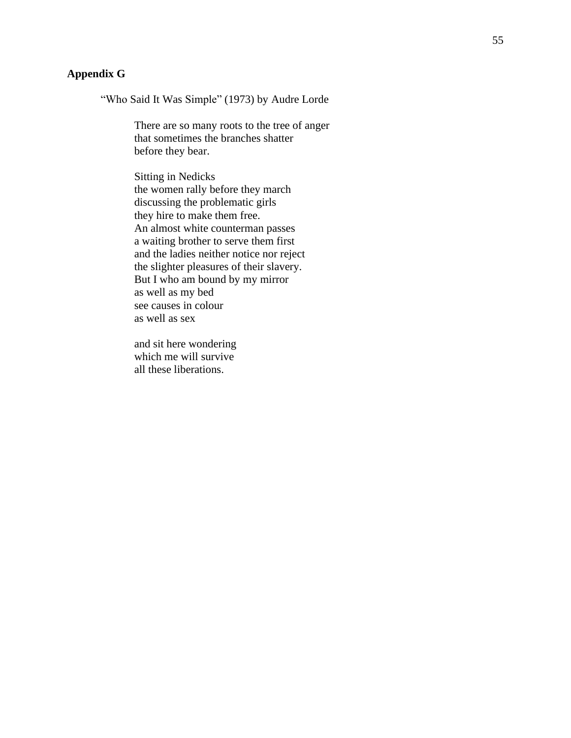## **Appendix G**

"Who Said It Was Simple" (1973) by Audre Lorde

There are so many roots to the tree of anger that sometimes the branches shatter before they bear.

Sitting in Nedicks the women rally before they march discussing the problematic girls they hire to make them free. An almost white counterman passes a waiting brother to serve them first and the ladies neither notice nor reject the slighter pleasures of their slavery. But I who am bound by my mirror as well as my bed see causes in colour as well as sex

and sit here wondering which me will survive all these liberations.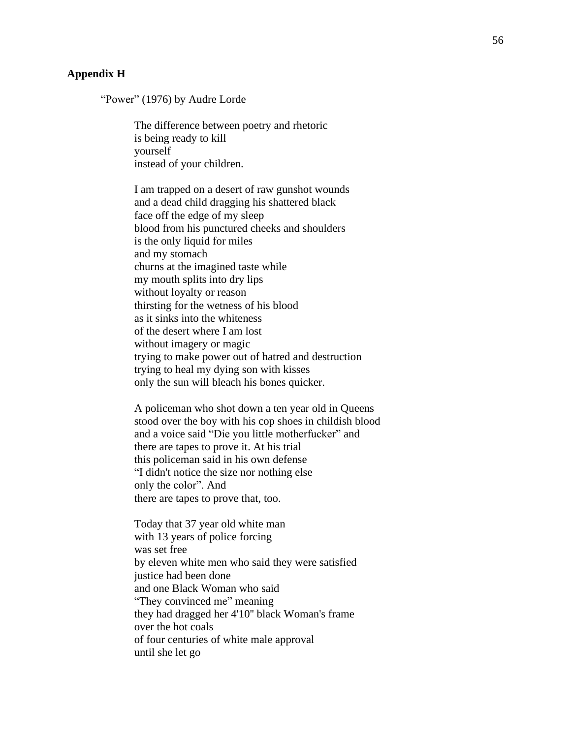## **Appendix H**

"Power" (1976) by Audre Lorde

The difference between poetry and rhetoric is being ready to kill yourself instead of your children.

I am trapped on a desert of raw gunshot wounds and a dead child dragging his shattered black face off the edge of my sleep blood from his punctured cheeks and shoulders is the only liquid for miles and my stomach churns at the imagined taste while my mouth splits into dry lips without loyalty or reason thirsting for the wetness of his blood as it sinks into the whiteness of the desert where I am lost without imagery or magic trying to make power out of hatred and destruction trying to heal my dying son with kisses only the sun will bleach his bones quicker.

A policeman who shot down a ten year old in Queens stood over the boy with his cop shoes in childish blood and a voice said "Die you little motherfucker" and there are tapes to prove it. At his trial this policeman said in his own defense "I didn't notice the size nor nothing else only the color". And there are tapes to prove that, too.

Today that 37 year old white man with 13 years of police forcing was set free by eleven white men who said they were satisfied justice had been done and one Black Woman who said "They convinced me" meaning they had dragged her 4'10'' black Woman's frame over the hot coals of four centuries of white male approval until she let go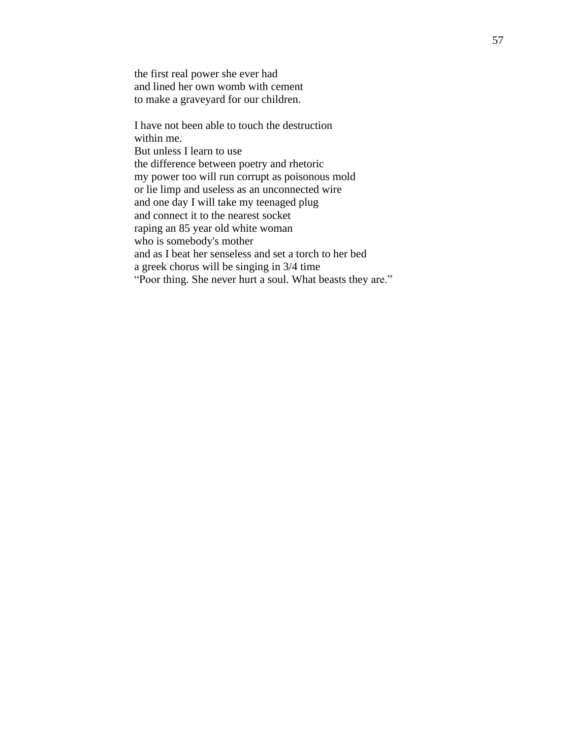the first real power she ever had and lined her own womb with cement to make a graveyard for our children.

I have not been able to touch the destruction within me. But unless I learn to use the difference between poetry and rhetoric my power too will run corrupt as poisonous mold or lie limp and useless as an unconnected wire and one day I will take my teenaged plug and connect it to the nearest socket raping an 85 year old white woman who is somebody's mother and as I beat her senseless and set a torch to her bed a greek chorus will be singing in 3/4 time "Poor thing. She never hurt a soul. What beasts they are."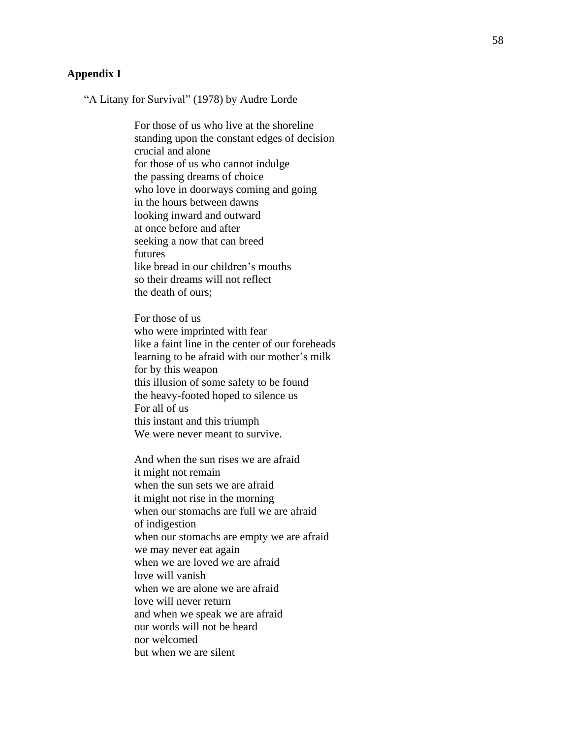## **Appendix I**

"A Litany for Survival" (1978) by Audre Lorde

For those of us who live at the shoreline standing upon the constant edges of decision crucial and alone for those of us who cannot indulge the passing dreams of choice who love in doorways coming and going in the hours between dawns looking inward and outward at once before and after seeking a now that can breed futures like bread in our children's mouths so their dreams will not reflect the death of ours;

For those of us who were imprinted with fear like a faint line in the center of our foreheads learning to be afraid with our mother's milk for by this weapon this illusion of some safety to be found the heavy-footed hoped to silence us For all of us this instant and this triumph We were never meant to survive.

And when the sun rises we are afraid it might not remain when the sun sets we are afraid it might not rise in the morning when our stomachs are full we are afraid of indigestion when our stomachs are empty we are afraid we may never eat again when we are loved we are afraid love will vanish when we are alone we are afraid love will never return and when we speak we are afraid our words will not be heard nor welcomed but when we are silent